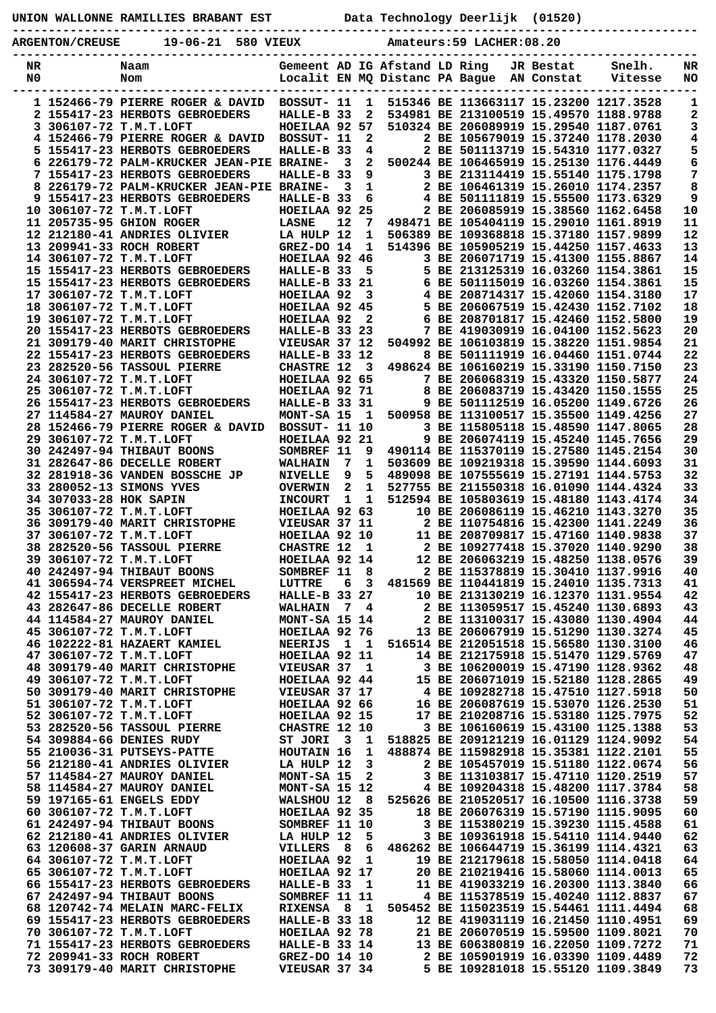## **UNION WALLONNE RAMILLIES BRABANT EST Data Technology Deerlijk (01520)**

**----------------------------------------------------------------------------------------------- ARGENTON/CREUSE 19-06-21 580 VIEUX Amateurs:59 LACHER:08.20**

| NR |                        | Naam                                    |                      |                         |              | Gemeent AD IG Afstand LD Ring  |                                        | JR Bestat  | Snelh.  | NR |
|----|------------------------|-----------------------------------------|----------------------|-------------------------|--------------|--------------------------------|----------------------------------------|------------|---------|----|
| N0 |                        | Nom                                     |                      |                         |              | Localit EN MQ Distanc PA Bague |                                        | AN Constat | Vitesse | NO |
|    |                        |                                         |                      |                         |              |                                |                                        |            |         |    |
|    |                        | 1 152466-79 PIERRE ROGER & DAVID        | BOSSUT- 11           |                         | 1            |                                | 515346 BE 113663117 15.23200 1217.3528 |            |         | 1  |
|    |                        | 2 155417-23 HERBOTS GEBROEDERS          | HALLE-B 33           |                         | $\mathbf{2}$ |                                | 534981 BE 213100519 15.49570 1188.9788 |            |         | 2  |
|    |                        | 3 306107-72 T.M.T.LOFT                  | HOEILAA 92 57        |                         |              |                                | 510324 BE 206089919 15.29540 1187.0761 |            |         | 3  |
|    |                        |                                         |                      |                         |              |                                |                                        |            |         |    |
|    |                        | 4 152466-79 PIERRE ROGER & DAVID        | BOSSUT- 11           |                         | 2            |                                | 2 BE 105679019 15.37240 1178.2030      |            |         | 4  |
|    |                        | 5 155417-23 HERBOTS GEBROEDERS          | HALLE-B 33           |                         | 4            |                                | 2 BE 501113719 15.54310 1177.0327      |            |         | 5  |
| 6  |                        | 226179-72 PALM-KRUCKER JEAN-PIE BRAINE- |                      | $\overline{\mathbf{3}}$ | $\mathbf{2}$ |                                | 500244 BE 106465919 15.25130 1176.4449 |            |         | 6  |
|    |                        | 7 155417-23 HERBOTS GEBROEDERS          | HALLE-B 33           |                         | 9            |                                | 3 BE 213114419 15.55140 1175.1798      |            |         | 7  |
| 8  |                        | 226179-72 PALM-KRUCKER JEAN-PIE BRAINE- |                      | 3                       | $\mathbf{1}$ |                                | 2 BE 106461319 15.26010 1174.2357      |            |         | 8  |
|    |                        | 9 155417-23 HERBOTS GEBROEDERS          | HALLE-B 33           |                         | 6            |                                | 4 BE 501111819 15.55500 1173.6329      |            |         | 9  |
|    |                        | 10 306107-72 T.M.T.LOFT                 | HOEILAA 92           |                         | 25           |                                | 2 BE 206085919 15.38560 1162.6458      |            |         | 10 |
|    |                        |                                         |                      |                         |              |                                |                                        |            |         |    |
|    |                        | 11 205735-95 GHION ROGER                | <b>LASNE</b>         | 12                      | 7            |                                | 498471 BE 105404119 15.29010 1161.8919 |            |         | 11 |
|    |                        | 12 212180-41 ANDRIES OLIVIER            | LA HULP 12           |                         | 1            |                                | 506389 BE 109368818 15.37180 1157.9899 |            |         | 12 |
|    |                        | 13 209941-33 ROCH ROBERT                | GREZ-DO 14           |                         | 1            |                                | 514396 BE 105905219 15.44250 1157.4633 |            |         | 13 |
|    |                        | 14 306107-72 T.M.T.LOFT                 | HOEILAA 92 46        |                         |              |                                | 3 BE 206071719 15.41300 1155.8867      |            |         | 14 |
|    |                        | 15 155417-23 HERBOTS GEBROEDERS         | HALLE-B 33           |                         | 5            |                                | 5 BE 213125319 16.03260 1154.3861      |            |         | 15 |
|    |                        | 15 155417-23 HERBOTS GEBROEDERS         | HALLE-B 33 21        |                         |              |                                | 6 BE 501115019 16.03260 1154.3861      |            |         | 15 |
|    |                        | 17 306107-72 T.M.T.LOFT                 | HOEILAA 92           |                         | 3            |                                | 4 BE 208714317 15.42060 1154.3180      |            |         | 17 |
|    |                        | 18 306107-72 T.M.T.LOFT                 | HOEILAA 92 45        |                         |              |                                | 5 BE 206067519 15.42430 1152.7102      |            |         | 18 |
|    |                        |                                         |                      |                         |              |                                |                                        |            |         |    |
|    |                        | 19 306107-72 T.M.T.LOFT                 | HOEILAA 92           |                         | $\mathbf{2}$ |                                | 6 BE 208701817 15.42460 1152.5800      |            |         | 19 |
|    |                        | 20 155417-23 HERBOTS GEBROEDERS         | <b>HALLE-B 33 23</b> |                         |              |                                | 7 BE 419030919 16.04100 1152.5623      |            |         | 20 |
|    |                        | 21 309179-40 MARIT CHRISTOPHE           | VIEUSAR 37 12        |                         |              |                                | 504992 BE 106103819 15.38220 1151.9854 |            |         | 21 |
|    |                        | 22 155417-23 HERBOTS GEBROEDERS         | <b>HALLE-B 33 12</b> |                         |              |                                | 8 BE 501111919 16.04460 1151.0744      |            |         | 22 |
|    |                        |                                         | <b>CHASTRE 12</b>    |                         | 3            |                                | 498624 BE 106160219 15.33190 1150.7150 |            |         | 23 |
|    |                        | 24 306107-72 T.M.T.LOFT                 | HOEILAA 92 65        |                         |              |                                | 7 BE 206068319 15.43320 1150.5877      |            |         | 24 |
|    |                        | 25 306107-72 T.M.T.LOFT                 | HOEILAA 92 71        |                         |              |                                | 8 BE 206083719 15.43420 1150.1555      |            |         | 25 |
|    |                        |                                         |                      |                         |              |                                |                                        |            |         |    |
|    |                        | 26 155417-23 HERBOTS GEBROEDERS         | HALLE-B 33 31        |                         |              |                                | 9 BE 501112519 16.05200 1149.6726      |            |         | 26 |
|    |                        | 27 114584-27 MAUROY DANIEL              | MONT-SA 15           |                         | - 1          |                                | 500958 BE 113100517 15.35500 1149.4256 |            |         | 27 |
|    |                        | 28 152466-79 PIERRE ROGER & DAVID       | <b>BOSSUT- 11 10</b> |                         |              |                                | 3 BE 115805118 15.48590 1147.8065      |            |         | 28 |
|    |                        | 29 306107-72 T.M.T.LOFT                 | HOEILAA 92 21        |                         |              |                                | 9 BE 206074119 15.45240 1145.7656      |            |         | 29 |
|    |                        | 30 242497-94 THIBAUT BOONS              | SOMBREF 11           |                         | 9            |                                | 490114 BE 115370119 15.27580 1145.2154 |            |         | 30 |
|    |                        | 31 282647-86 DECELLE ROBERT             | <b>WALHAIN</b>       | 7                       | 1            |                                | 503609 BE 109219318 15.39590 1144.6093 |            |         | 31 |
|    |                        | 32 281918-36 VANDEN BOSSCHE JP          | <b>NIVELLE</b>       | 9                       | 5            |                                | 489098 BE 107555619 15.27191 1144.5753 |            |         | 32 |
|    |                        |                                         |                      |                         |              |                                |                                        |            |         |    |
|    |                        | 33 280052-13 SIMONS YVES                | <b>OVERWIN</b>       | $\mathbf{2}$            | 1            |                                | 527755 BE 211550318 16.01090 1144.4324 |            |         | 33 |
|    | 34 307033-28 HOK SAPIN |                                         | <b>INCOURT</b>       | 1                       | 1            |                                | 512594 BE 105803619 15.48180 1143.4174 |            |         | 34 |
|    |                        | 35 306107-72 T.M.T.LOFT                 | HOEILAA 92 63        |                         |              |                                | 10 BE 206086119 15.46210 1143.3270     |            |         | 35 |
|    |                        | 36 309179-40 MARIT CHRISTOPHE           | VIEUSAR 37 11        |                         |              |                                | 2 BE 110754816 15.42300 1141.2249      |            |         | 36 |
|    |                        | 37 306107-72 T.M.T.LOFT                 | HOEILAA 92 10        |                         |              |                                | 11 BE 208709817 15.47160 1140.9838     |            |         | 37 |
|    |                        | 38 282520-56 TASSOUL PIERRE             | <b>CHASTRE 12</b>    |                         | 1            |                                | 2 BE 109277418 15.37020 1140.9290      |            |         | 38 |
|    |                        | 39 306107-72 T.M.T.LOFT                 | HOEILAA 92 14        |                         |              |                                | 12 BE 206063219 15.48250 1138.0576     |            |         | 39 |
|    |                        |                                         | SOMBREF 11           |                         | 8            |                                | 2 BE 115378819 15.30410 1137.9916      |            |         | 40 |
|    |                        | 40 242497-94 THIBAUT BOONS              |                      |                         |              |                                |                                        |            |         |    |
|    |                        | 41 306594-74 VERSPREET MICHEL           | LUTTRE               | 6                       | 3            |                                | 481569 BE 110441819 15.24010 1135.7313 |            |         | 41 |
|    |                        | 42 155417-23 HERBOTS GEBROEDERS         | HALLE-B 33 27        |                         |              |                                | 10 BE 213130219 16.12370 1131.9554     |            |         | 42 |
|    |                        | 43 282647-86 DECELLE ROBERT             | <b>WALHAIN</b>       |                         | 74           |                                | 2 BE 113059517 15.45240 1130.6893      |            |         | 43 |
|    |                        | 44 114584-27 MAUROY DANIEL              | MONT-SA 15 14        |                         |              |                                | 2 BE 113100317 15.43080 1130.4904      |            |         | 44 |
|    |                        | 45 306107-72 T.M.T.LOFT                 | HOEILAA 92 76        |                         |              |                                | 13 BE 206067919 15.51290 1130.3274     |            |         | 45 |
|    |                        | 46 102222-81 HAZAERT KAMIEL             | NEERIJS 1 1          |                         |              |                                | 516514 BE 212051518 15.56580 1130.3100 |            |         | 46 |
|    |                        | 47 306107-72 T.M.T.LOFT                 | HOEILAA 92 11        |                         |              |                                | 14 BE 212175918 15.51470 1129.5769     |            |         | 47 |
|    |                        |                                         |                      |                         |              |                                |                                        |            |         |    |
|    |                        | 48 309179-40 MARIT CHRISTOPHE           | VIEUSAR 37 1         |                         |              |                                | 3 BE 106200019 15.47190 1128.9362      |            |         | 48 |
|    |                        | 49 306107-72 T.M.T.LOFT                 | HOEILAA 92 44        |                         |              |                                | 15 BE 206071019 15.52180 1128.2865     |            |         | 49 |
|    |                        | 50 309179-40 MARIT CHRISTOPHE           | VIEUSAR 37 17        |                         |              |                                | 4 BE 109282718 15.47510 1127.5918      |            |         | 50 |
|    |                        | 51 306107-72 T.M.T.LOFT                 | HOEILAA 92 66        |                         |              |                                | 16 BE 206087619 15.53070 1126.2530     |            |         | 51 |
|    |                        | 52 306107-72 T.M.T.LOFT                 | HOEILAA 92 15        |                         |              |                                | 17 BE 210208716 15.53180 1125.7975     |            |         | 52 |
|    |                        | 53 282520-56 TASSOUL PIERRE             | CHASTRE 12 10        |                         |              |                                | 3 BE 106160619 15.43100 1125.1388      |            |         | 53 |
|    |                        | 54 309884-66 DENIES RUDY                | ST JORI 3            |                         | $\mathbf{1}$ |                                | 518825 BE 209121219 16.01129 1124.9092 |            |         | 54 |
|    |                        | 55 210036-31 PUTSEYS-PATTE              | HOUTAIN 16           |                         | 1            |                                | 488874 BE 115982918 15.35381 1122.2101 |            |         | 55 |
|    |                        |                                         |                      |                         |              |                                |                                        |            |         |    |
|    |                        | 56 212180-41 ANDRIES OLIVIER            | LA HULP 12           |                         | 3            |                                | 2 BE 105457019 15.51180 1122.0674      |            |         | 56 |
|    |                        | 57 114584-27 MAUROY DANIEL              | MONT-SA 15           |                         | $\mathbf{2}$ |                                | 3 BE 113103817 15.47110 1120.2519      |            |         | 57 |
|    |                        | 58 114584-27 MAUROY DANIEL              | MONT-SA 15 12        |                         |              |                                | 4 BE 109204318 15.48200 1117.3784      |            |         | 58 |
|    |                        | 59 197165-61 ENGELS EDDY                | WALSHOU 12 8         |                         |              |                                | 525626 BE 210520517 16.10500 1116.3738 |            |         | 59 |
|    |                        | 60 306107-72 T.M.T.LOFT                 | HOEILAA 92 35        |                         |              |                                | 18 BE 206076319 15.57190 1115.9095     |            |         | 60 |
|    |                        | 61 242497-94 THIBAUT BOONS              | SOMBREF 11 10        |                         |              |                                | 3 BE 115380219 15.39230 1115.4588      |            |         | 61 |
|    |                        | 62 212180-41 ANDRIES OLIVIER            | LA HULP 12           |                         | 5            |                                | 3 BE 109361918 15.54110 1114.9440      |            |         | 62 |
|    |                        | 63 120608-37 GARIN ARNAUD               | VILLERS 8            |                         | 6            |                                | 486262 BE 106644719 15.36199 1114.4321 |            |         | 63 |
|    |                        |                                         |                      |                         |              |                                |                                        |            |         |    |
|    |                        | 64 306107-72 T.M.T.LOFT                 | HOEILAA 92           |                         | 1            |                                | 19 BE 212179618 15.58050 1114.0418     |            |         | 64 |
|    |                        | 65 306107-72 T.M.T.LOFT                 | HOEILAA 92 17        |                         |              |                                | 20 BE 210219416 15.58060 1114.0013     |            |         | 65 |
|    |                        | 66 155417-23 HERBOTS GEBROEDERS         | HALLE-B 33           |                         | $\mathbf{1}$ |                                | 11 BE 419033219 16.20300 1113.3840     |            |         | 66 |
|    |                        | 67 242497-94 THIBAUT BOONS              | SOMBREF 11 11        |                         |              |                                | 4 BE 115378519 15.40240 1112.8837      |            |         | 67 |
|    |                        | 68 120742-74 MELAIN MARC-FELIX          | RIXENSA 8            |                         | - 1          |                                | 505452 BE 115023519 15.54461 1111.4494 |            |         | 68 |
|    |                        | 69 155417-23 HERBOTS GEBROEDERS         | <b>HALLE-B 33 18</b> |                         |              |                                | 12 BE 419031119 16.21450 1110.4951     |            |         | 69 |
|    |                        | 70 306107-72 T.M.T.LOFT                 | HOEILAA 92 78        |                         |              |                                | 21 BE 206070519 15.59500 1109.8021     |            |         | 70 |
|    |                        | 71 155417-23 HERBOTS GEBROEDERS         | HALLE-B 33 14        |                         |              |                                | 13 BE 606380819 16.22050 1109.7272     |            |         | 71 |
|    |                        |                                         |                      |                         |              |                                |                                        |            |         |    |
|    |                        | 72 209941-33 ROCH ROBERT                | GREZ-DO 14 10        |                         |              |                                | 2 BE 105901919 16.03390 1109.4489      |            |         | 72 |
|    |                        | 73 309179-40 MARIT CHRISTOPHE           | VIEUSAR 37 34        |                         |              |                                | 5 BE 109281018 15.55120 1109.3849      |            |         | 73 |
|    |                        |                                         |                      |                         |              |                                |                                        |            |         |    |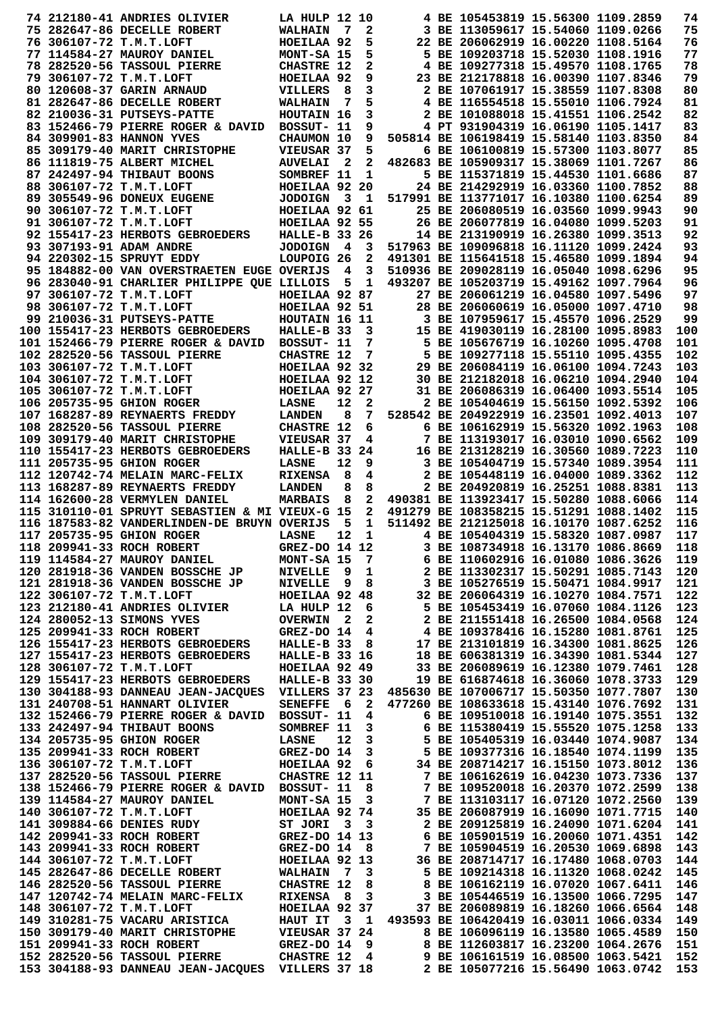|  | 74 212180-41 ANDRIES OLIVIER                                                                                                                                                      | <b>LA HULP 12 10</b>        |                         |                         |                                                                         | 4 BE 105453819 15.56300 1109.2859                                       |  | 74         |
|--|-----------------------------------------------------------------------------------------------------------------------------------------------------------------------------------|-----------------------------|-------------------------|-------------------------|-------------------------------------------------------------------------|-------------------------------------------------------------------------|--|------------|
|  | 75 282647-86 DECELLE ROBERT                                                                                                                                                       | <b>WALHAIN</b>              | $\overline{7}$          | 2                       |                                                                         | 3 BE 113059617 15.54060 1109.0266                                       |  | 75         |
|  | 76 306107-72 T.M.T.LOFT                                                                                                                                                           | HOEILAA 92                  |                         | 5                       |                                                                         | 22 BE 206062919 16.00220 1108.5164                                      |  | 76         |
|  | 77 114584-27 MAUROY DANIEL                                                                                                                                                        | MONT-SA 15                  |                         | 5                       |                                                                         | 5 BE 109203718 15.52030 1108.1916                                       |  | 77         |
|  | 78 282520-56 TASSOUL PIERRE                                                                                                                                                       | <b>CHASTRE 12</b>           |                         | 2                       |                                                                         | 4 BE 109277318 15.49570 1108.1765                                       |  | 78         |
|  | 79 306107-72 T.M.T.LOFT                                                                                                                                                           | HOEILAA 92                  |                         | 9                       |                                                                         | 23 BE 212178818 16.00390 1107.8346                                      |  | 79         |
|  | 80 120608-37 GARIN ARNAUD                                                                                                                                                         | <b>VILLERS</b>              | 8                       | 3                       |                                                                         | 2 BE 107061917 15.38559 1107.8308                                       |  | 80         |
|  | 81 282647-86 DECELLE ROBERT                                                                                                                                                       | <b>WALHAIN</b>              | 7                       | 5                       |                                                                         | 4 BE 116554518 15.55010 1106.7924                                       |  | 81         |
|  | 82 210036-31 PUTSEYS-PATTE                                                                                                                                                        | HOUTAIN 16                  |                         | 3                       |                                                                         | 2 BE 101088018 15.41551 1106.2542                                       |  | 82         |
|  | 83 152466-79 PIERRE ROGER & DAVID                                                                                                                                                 | BOSSUT- 11                  |                         | 9                       |                                                                         | 4 PT 931904319 16.06190 1105.1417                                       |  | 83         |
|  | 84 309901-83 HANNON YVES                                                                                                                                                          | CHAUMON 10                  |                         | 9                       |                                                                         | 505814 BE 106198419 15.58140 1103.8350                                  |  | 84         |
|  | 85 309179-40 MARIT CHRISTOPHE                                                                                                                                                     | VIEUSAR 37                  |                         | 5                       |                                                                         | 6 BE 106100819 15.57300 1103.8077                                       |  | 85         |
|  | 86 111819-75 ALBERT MICHEL                                                                                                                                                        | <b>AUVELAI</b>              | -2                      | 2                       |                                                                         | 482683 BE 105909317 15.38069 1101.7267                                  |  | 86         |
|  | 87 242497-94 THIBAUT BOONS<br>88 306107-72 T.M.T.LOFT                                                                                                                             | SOMBREF 11<br>HOEILAA 92 20 |                         | 1                       |                                                                         | 5 BE 115371819 15.44530 1101.6686<br>24 BE 214292919 16.03360 1100.7852 |  | 87<br>88   |
|  | 89 305549-96 DONEUX EUGENE                                                                                                                                                        | <b>JODOIGN</b>              | $\overline{\mathbf{3}}$ | - 1                     |                                                                         | 517991 BE 113771017 16.10380 1100.6254                                  |  | 89         |
|  | 90 306107-72 T.M.T.LOFT                                                                                                                                                           | HOEILAA 92 61               |                         |                         |                                                                         | 25 BE 206080519 16.03560 1099.9943                                      |  | 90         |
|  | 91 306107-72 T.M.T.LOFT                                                                                                                                                           | HOEILAA 92 55               |                         |                         |                                                                         | 26 BE 206077819 16.04080 1099.5203                                      |  | 91         |
|  | 92 155417-23 HERBOTS GEBROEDERS                                                                                                                                                   | <b>HALLE-B 33 26</b>        |                         |                         |                                                                         | 14 BE 213190919 16.26380 1099.3513                                      |  | 92         |
|  | 93 307193-91 ADAM ANDRE                                                                                                                                                           | <b>JODOIGN</b>              | $\overline{\mathbf{4}}$ | 3                       |                                                                         | 517963 BE 109096818 16.11120 1099.2424                                  |  | 93         |
|  | 94 220302-15 SPRUYT EDDY                                                                                                                                                          | LOUPOIG <sub>26</sub>       |                         | 2                       |                                                                         | 491301 BE 115641518 15.46580 1099.1894                                  |  | 94         |
|  | 95 184882-00 VAN OVERSTRAETEN EUGE OVERIJS                                                                                                                                        |                             | $\overline{\mathbf{4}}$ | 3                       |                                                                         | 510936 BE 209028119 16.05040 1098.6296                                  |  | 95         |
|  | 96 283040-91 CHARLIER PHILIPPE QUE LILLOIS                                                                                                                                        |                             | 5                       | 1                       |                                                                         | 493207 BE 105203719 15.49162 1097.7964                                  |  | 96         |
|  | 97 306107-72 T.M.T.LOFT                                                                                                                                                           | HOEILAA 92 87               |                         |                         |                                                                         | 27 BE 206061219 16.04580 1097.5496                                      |  | 97         |
|  | 98 306107-72 T.M.T.LOFT                                                                                                                                                           | HOEILAA 92 51               |                         |                         |                                                                         | 28 BE 206060619 16.05000 1097.4710                                      |  | 98         |
|  | 99 210036-31 PUTSEYS-PATTE                                                                                                                                                        | HOUTAIN 16 11               |                         |                         |                                                                         | 3 BE 107959617 15.45570 1096.2529                                       |  | 99         |
|  | 100 155417-23 HERBOTS GEBROEDERS                                                                                                                                                  | HALLE-B 33                  |                         | 3                       |                                                                         | 15 BE 419030119 16.28100 1095.8983                                      |  | 100        |
|  | 101 152466-79 PIERRE ROGER & DAVID                                                                                                                                                | BOSSUT- 11                  |                         | 7                       |                                                                         | 5 BE 105676719 16.10260 1095.4708                                       |  | 101        |
|  | 102 282520-56 TASSOUL PIERRE                                                                                                                                                      | <b>CHASTRE 12</b>           |                         | 7                       |                                                                         | 5 BE 109277118 15.55110 1095.4355                                       |  | 102        |
|  | 103 306107-72 T.M.T.LOFT                                                                                                                                                          | HOEILAA 92 32               |                         |                         |                                                                         | 29 BE 206084119 16.06100 1094.7243                                      |  | 103        |
|  | 104 306107-72 T.M.T.LOFT                                                                                                                                                          | HOEILAA 92 12               |                         |                         |                                                                         | 30 BE 212182018 16.06210 1094.2940                                      |  | 104        |
|  | 105 306107-72 T.M.T.LOFT                                                                                                                                                          | HOEILAA 92 27               |                         |                         |                                                                         | 31 BE 206086319 16.06400 1093.5514                                      |  | 105        |
|  | 106 205735-95 GHION ROGER                                                                                                                                                         | <b>LASNE</b>                | 12                      | 2                       |                                                                         | 2 BE 105404619 15.56150 1092.5392                                       |  | 106        |
|  | 107 168287-89 REYNAERTS FREDDY                                                                                                                                                    | <b>LANDEN</b>               | 8                       | 7                       |                                                                         | 528542 BE 204922919 16.23501 1092.4013                                  |  | 107        |
|  | 108 282520-56 TASSOUL PIERRE                                                                                                                                                      | <b>CHASTRE 12</b>           |                         | 6                       |                                                                         | 6 BE 106162919 15.56320 1092.1963                                       |  | 108        |
|  | 109 309179-40 MARIT CHRISTOPHE                                                                                                                                                    | VIEUSAR 37                  |                         | 4                       |                                                                         | 7 BE 113193017 16.03010 1090.6562                                       |  | 109        |
|  | 110 155417-23 HERBOTS GEBROEDERS                                                                                                                                                  | HALLE-B 33 24               |                         |                         |                                                                         | 16 BE 213128219 16.30560 1089.7223                                      |  | 110        |
|  | 111 205735-95 GHION ROGER                                                                                                                                                         | <b>LASNE</b>                | 12                      | 9                       |                                                                         | 3 BE 105404719 15.57340 1089.3954                                       |  | 111        |
|  | 112 120742-74 MELAIN MARC-FELIX                                                                                                                                                   | <b>RIXENSA</b>              | 8                       | 4                       |                                                                         | 2 BE 105448119 16.04000 1089.3362<br>2 BE 204920819 16.25251 1088.8381  |  | 112        |
|  | 113 168287-89 REYNAERTS FREDDY<br>114 162600-28 VERMYLEN DANIEL                                                                                                                   | <b>LANDEN</b><br>MARBAIS    | 8<br>- 8                | 8<br>2                  |                                                                         | 490381 BE 113923417 15.50280 1088.6066                                  |  | 113<br>114 |
|  | 115 310110-01 SPRUYT SEBASTIEN & MI VIEUX-G 15                                                                                                                                    |                             |                         | $\mathbf{2}$            |                                                                         | 491279 BE 108358215 15.51291 1088.1402                                  |  | 115        |
|  | 116 187583-82 VANDERLINDEN-DE BRUYN OVERIJS                                                                                                                                       |                             | 5                       | 1                       |                                                                         | 511492 BE 212125018 16.10170 1087.6252                                  |  | 116        |
|  | 117 205735-95 GHION ROGER                                                                                                                                                         | LASNE                       | 12                      | $\mathbf 1$             |                                                                         | 4 BE 105404319 15.58320 1087.0987                                       |  | 117        |
|  | 118 209941-33 ROCH ROBERT                                                                                                                                                         | GREZ-DO 14 12               |                         |                         |                                                                         | 3 BE 108734918 16.13170 1086.8669                                       |  | 118        |
|  | 119 114584-27 MAUROY DANIEL                                                                                                                                                       | MONT-SA 15                  |                         | $\overline{7}$          |                                                                         | 6 BE 110602916 16.01080 1086.3626                                       |  | 119        |
|  | 120 281918-36 VANDEN BOSSCHE JP                                                                                                                                                   | NIVELLE 9 1                 |                         |                         |                                                                         | 2 BE 113302317 15.50291 1085.7143                                       |  | 120        |
|  | 121 281918-36 VANDEN BOSSCHE JP                                                                                                                                                   | NIVELLE 9 8                 |                         |                         |                                                                         | 3 BE 105276519 15.50471 1084.9917                                       |  | 121        |
|  | 122 306107-72 T.M.T.LOFT                                                                                                                                                          | HOEILAA 92 48               |                         |                         | 32 BE 206064319 16.10270 1084.7571                                      |                                                                         |  | 122        |
|  | 123 212180-41 ANDRIES OLIVIER                                                                                                                                                     | LA HULP 12 6                |                         |                         |                                                                         | 5 BE 105453419 16.07060 1084.1126                                       |  | 123        |
|  | 124 280052-13 SIMONS YVES                                                                                                                                                         | <b>OVERWIN 2</b>            |                         | $\overline{\mathbf{2}}$ |                                                                         | 2 BE 211551418 16.26500 1084.0568                                       |  | 124        |
|  | 125 209941-33 ROCH ROBERT                                                                                                                                                         | GREZ-DO 14                  |                         | 4                       |                                                                         |                                                                         |  | 125        |
|  | 126 155417-23 HERBOTS GEBROEDERS                                                                                                                                                  | HALLE-B 33 8                |                         |                         |                                                                         | 4 BE 109378416 16.15280 1081.8761<br>17 BE 213101819 16.34300 1081.8625 |  | 126        |
|  | 127 155417-23 HERBOTS GEBROEDERS                                                                                                                                                  | HALLE-B 33 16               |                         |                         |                                                                         | 18 BE 606381319 16.34390 1081.5344                                      |  | 127        |
|  | 128 306107-72 T.M.T.LOFT                                                                                                                                                          | HOEILAA 92 49               |                         |                         |                                                                         | 33 BE 206089619 16.12380 1079.7461                                      |  | 128        |
|  | 129 155417-23 HERBOTS GEBROEDERS                                                                                                                                                  | HALLE-B 33 30               |                         |                         |                                                                         | 19 BE 616874618 16.36060 1078.3733                                      |  | 129        |
|  | 130 304188-93 DANNEAU JEAN-JACQUES                                                                                                                                                | VILLERS 37 23               |                         |                         |                                                                         | 485630 BE 107006717 15.50350 1077.7807                                  |  | 130        |
|  | 131 240708-51 HANNART OLIVIER                                                                                                                                                     | SENEFFE 6 2                 |                         |                         |                                                                         | 477260 BE 108633618 15.43140 1076.7692                                  |  | 131        |
|  | 132 152466-79 PIERRE ROGER & DAVID BOSSUT- 11 4                                                                                                                                   |                             |                         |                         |                                                                         | 6 BE 109510018 16.19140 1075.3551                                       |  | 132        |
|  | 133 242497-94 THIBAUT BOONS                                                                                                                                                       | SOMBREF 11                  |                         | $\mathbf{3}$            |                                                                         | 6 BE 115380419 15.55520 1075.1258                                       |  | 133        |
|  | 134 205735-95 GHION ROGER                                                                                                                                                         | <b>LASNE</b>                | 12                      | 3                       |                                                                         | 5 BE 105405319 16.03440 1074.9087                                       |  | 134        |
|  | 135 209941-33 ROCH ROBERT<br>130 209941-33 ROCH ROBERT GREZ-DO 14 3 5 BE 109377316 16.18540 1074.1199<br>136 306107-72 T.M.T.LOFT HOEILAA 92 6 34 BE 208714217 16.15150 1073.8012 | <b>GREZ-DO 14</b>           |                         | $3^{\circ}$             |                                                                         | 5 BE 109377316 16.18540 1074.1199                                       |  | 135        |
|  |                                                                                                                                                                                   |                             |                         |                         |                                                                         |                                                                         |  | 136        |
|  | 137 282520-56 TASSOUL PIERRE CHASTRE 12 11                                                                                                                                        |                             |                         |                         |                                                                         | 7 BE 106162619 16.04230 1073.7336                                       |  | 137        |
|  | 138 152466-79 PIERRE ROGER & DAVID BOSSUT- 11 8                                                                                                                                   |                             |                         |                         | 7 BE 113103117 16.07120 1072.2560                                       | 7 BE 109520018 16.20370 1072.2599                                       |  | 138        |
|  | 139 114584-27 MAUROY DANIEL                                                                                                                                                       | MONT-SA 15                  |                         | $\overline{\mathbf{3}}$ |                                                                         |                                                                         |  | 139        |
|  | 140 306107-72 T.M.T.LOFT<br>141 309884-66 DENIES RUDY                                                                                                                             | HOEILAA 92 74<br>ST JORI    |                         | 3 <sub>3</sub>          | 35 BE 206087919 16.16090 1071.7715                                      |                                                                         |  | 140<br>141 |
|  | 142 209941-33 ROCH ROBERT GREZ-DO 14 13                                                                                                                                           |                             |                         |                         | 6 BE 105901519 16.20060 1071.4351                                       | 2 BE 209125819 16.24090 1071.6204                                       |  | 142        |
|  | 143 209941-33 ROCH ROBERT                                                                                                                                                         |                             |                         |                         |                                                                         |                                                                         |  | 143        |
|  | GREZ-DO 14 8<br>HOEILAA 92 13<br>144 306107-72 T.M.T.LOFT                                                                                                                         |                             |                         |                         | 7 BE 105904519 16.20530 1069.6898<br>36 BE 208714717 16.17480 1068.0703 |                                                                         |  | 144        |
|  | 145 282647-86 DECELLE ROBERT WALHAIN 7                                                                                                                                            |                             |                         | 3                       |                                                                         | 5 BE 109214318 16.11320 1068.0242                                       |  | 145        |
|  |                                                                                                                                                                                   |                             |                         |                         |                                                                         | 8 BE 106162119 16.07020 1067.6411                                       |  | 146        |
|  |                                                                                                                                                                                   |                             |                         |                         |                                                                         | 3 BE 105446519 16.13500 1066.7295                                       |  | 147        |
|  | 146 282520-56 TASSOUL PIERRE CHASTRE 12 8<br>147 120742-74 MELAIN MARC-FELIX RIXENSA 8 3<br>148 306107-72 T.M.T.LOFT HOEILAA 92 37                                                |                             |                         |                         |                                                                         | 37 BE 206089819 16.18260 1066.6564                                      |  | 148        |
|  | 149 310281-75 VACARU ARISTICA                                                                                                                                                     | HAUT IT 3 1                 |                         |                         | 493593 BE 106420419 16.03011 1066.0334                                  |                                                                         |  | 149        |
|  | 150 309179-40 MARIT CHRISTOPHE                                                                                                                                                    | <b>VIEUSAR 37 24</b>        |                         |                         |                                                                         | 8 BE 106096119 16.13580 1065.4589                                       |  | 150        |
|  | 151 209941-33 ROCH ROBERT                                                                                                                                                         | GREZ-DO $14$ 9              |                         |                         |                                                                         | 8 BE 112603817 16.23200 1064.2676                                       |  | 151        |
|  | 152 282520-56 TASSOUL PIERRE CHASTRE 12 4 9 BE 106161519 16.08500 1063.5421                                                                                                       |                             |                         |                         |                                                                         |                                                                         |  | 152        |
|  | 153 304188-93 DANNEAU JEAN-JACQUES VILLERS 37 18 2 BE 105077216 15.56490 1063.0742                                                                                                |                             |                         |                         |                                                                         |                                                                         |  | 153        |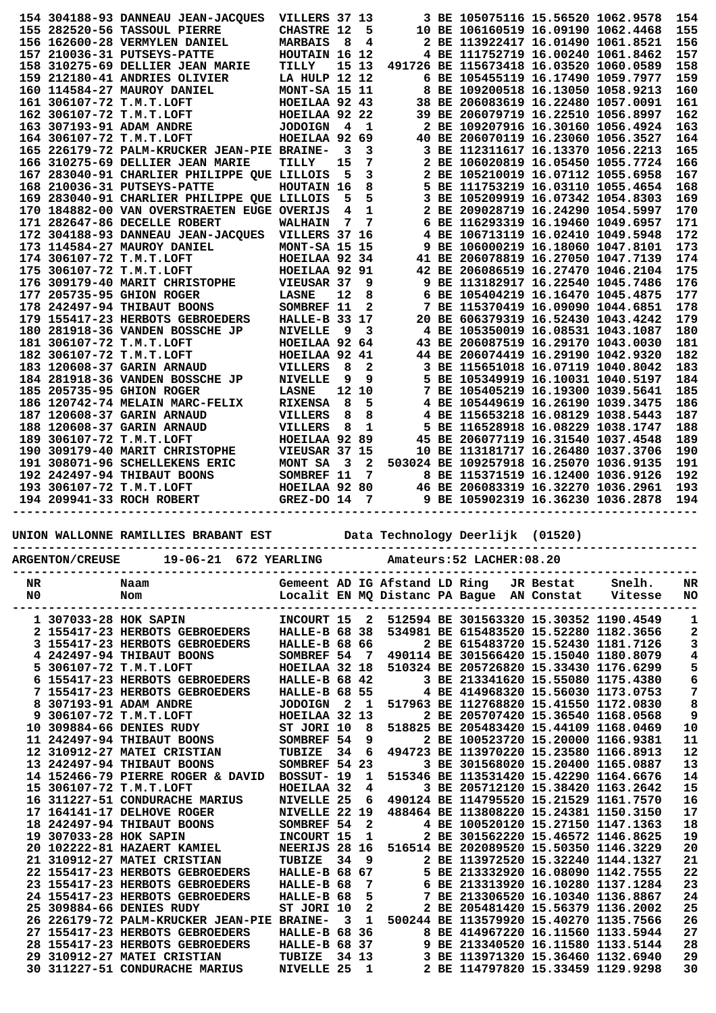|  | 154 304188-93 DANNEAU JEAN-JACQUES                                                                                                                                                                                                           | VILLERS 37 13                                     |                 |              |  | 3 BE 105075116 15.56520 1062.9578      |  | 154 |
|--|----------------------------------------------------------------------------------------------------------------------------------------------------------------------------------------------------------------------------------------------|---------------------------------------------------|-----------------|--------------|--|----------------------------------------|--|-----|
|  | 155 282520-56 TASSOUL PIERRE                                                                                                                                                                                                                 | <b>CHASTRE 12</b>                                 |                 | 5            |  | 10 BE 106160519 16.09190 1062.4468     |  | 155 |
|  | 156 162600-28 VERMYLEN DANIEL                                                                                                                                                                                                                | <b>MARBAIS</b>                                    | - 8             | 4            |  | 2 BE 113922417 16.01490 1061.8521      |  | 156 |
|  | 157 210036-31 PUTSEYS-PATTE                                                                                                                                                                                                                  | HOUTAIN 16 12                                     |                 |              |  | 4 BE 111752719 16.00240 1061.8462      |  | 157 |
|  | 158 310275-69 DELLIER JEAN MARIE                                                                                                                                                                                                             | TILLY                                             | 15 13           |              |  | 491726 BE 115673418 16.03520 1060.0589 |  | 158 |
|  | 159 212180-41 ANDRIES OLIVIER                                                                                                                                                                                                                | LA HULP 12 12                                     |                 |              |  | 6 BE 105455119 16.17490 1059.7977      |  | 159 |
|  | 160 114584-27 MAUROY DANIEL                                                                                                                                                                                                                  | MONT-SA 15 11                                     |                 |              |  | 8 BE 109200518 16.13050 1058.9213      |  | 160 |
|  |                                                                                                                                                                                                                                              |                                                   |                 |              |  | 38 BE 206083619 16.22480 1057.0091     |  | 161 |
|  |                                                                                                                                                                                                                                              |                                                   |                 |              |  | 39 BE 206079719 16.22510 1056.8997     |  | 162 |
|  | 161 306107-72 T.M.T.LOFT HOEILAA 92 43<br>162 306107-72 T.M.T.LOFT HOEILAA 92 22<br>163 307193-91 ADAM ANDRE JODOIGN 4 1                                                                                                                     |                                                   |                 |              |  | 2 BE 109207916 16.30160 1056.4924      |  | 163 |
|  | 164 306107-72 T.M.T.LOFT                                                                                                                                                                                                                     | HOEILAA 92 69                                     |                 |              |  | 40 BE 206070119 16.23060 1056.3527     |  | 164 |
|  | 165 226179-72 PALM-KRUCKER JEAN-PIE BRAINE-                                                                                                                                                                                                  |                                                   | 3               | 3            |  | 3 BE 112311617 16.13370 1056.2213      |  | 165 |
|  | 166 310275-69 DELLIER JEAN MARIE                                                                                                                                                                                                             | TILLY                                             | 15              | 7            |  | 2 BE 106020819 16.05450 1055.7724      |  | 166 |
|  | 167 283040-91 CHARLIER PHILIPPE QUE LILLOIS                                                                                                                                                                                                  |                                                   | - 5             | 3            |  | 2 BE 105210019 16.07112 1055.6958      |  | 167 |
|  | 168 210036-31 PUTSEYS-PATTE                                                                                                                                                                                                                  | HOUTAIN 16                                        |                 | 8            |  | 5 BE 111753219 16.03110 1055.4654      |  | 168 |
|  | 169 283040-91 CHARLIER PHILIPPE QUE LILLOIS                                                                                                                                                                                                  |                                                   | 5               | 5            |  | 3 BE 105209919 16.07342 1054.8303      |  | 169 |
|  | 170 184882-00 VAN OVERSTRAETEN EUGE OVERIJS                                                                                                                                                                                                  |                                                   | 4               | $\mathbf 1$  |  | 2 BE 209028719 16.24290 1054.5997      |  | 170 |
|  | 171 282647-86 DECELLE ROBERT                                                                                                                                                                                                                 | <b>WALHAIN</b>                                    | $7\phantom{.0}$ | 7            |  | 6 BE 116293319 16.19460 1049.6957      |  | 171 |
|  | 172 304188-93 DANNEAU JEAN-JACQUES VILLERS 37 16                                                                                                                                                                                             |                                                   |                 |              |  | 4 BE 106713119 16.02410 1049.5948      |  | 172 |
|  | 173 114584-27 MAUROY DANIEL                                                                                                                                                                                                                  |                                                   |                 |              |  | 9 BE 106000219 16.18060 1047.8101      |  | 173 |
|  | 174 306107-72 T.M.T.LOFT                                                                                                                                                                                                                     |                                                   |                 |              |  | 41 BE 206078819 16.27050 1047.7139     |  | 174 |
|  | 175 306107-72 T.M.T.LOFT                                                                                                                                                                                                                     | MONT-SA 15 15<br>HOEILAA 92 34<br>HOEILAA 92 91   |                 |              |  | 42 BE 206086519 16.27470 1046.2104     |  | 175 |
|  | 176 309179-40 MARIT CHRISTOPHE                                                                                                                                                                                                               |                                                   |                 | 9            |  | 9 BE 113182917 16.22540 1045.7486      |  | 176 |
|  | 177 205735-95 GHION ROGER                                                                                                                                                                                                                    | ---------<br>VIEUSAR 37<br>LASNE 12<br>SOMBREF 11 |                 | 8            |  | 6 BE 105404219 16.16470 1045.4875      |  | 177 |
|  | 178 242497-94 THIBAUT BOONS                                                                                                                                                                                                                  |                                                   |                 | $\mathbf{2}$ |  | 7 BE 115370419 16.09090 1044.6851      |  | 178 |
|  | 179 155417-23 HERBOTS GEBROEDERS                                                                                                                                                                                                             | HALLE-B 33 17                                     |                 |              |  | 20 BE 606379319 16.52430 1043.4242     |  | 179 |
|  | 180 281918-36 VANDEN BOSSCHE JP                                                                                                                                                                                                              | <b>NIVELLE</b>                                    | - 9             | 3            |  | 4 BE 105350019 16.08531 1043.1087      |  | 180 |
|  | 181 306107-72 T.M.T.LOFT                                                                                                                                                                                                                     | HOEILAA 92 64                                     |                 |              |  | 43 BE 206087519 16.29170 1043.0030     |  | 181 |
|  | 182 306107-72 T.M.T.LOFT                                                                                                                                                                                                                     | HOEILAA 92 41                                     |                 |              |  | 44 BE 206074419 16.29190 1042.9320     |  | 182 |
|  | 183 120608-37 GARIN ARNAUD                                                                                                                                                                                                                   | VILLERS                                           | 8               | $\mathbf{2}$ |  | 3 BE 115651018 16.07119 1040.8042      |  | 183 |
|  | 184 281918-36 VANDEN BOSSCHE JP                                                                                                                                                                                                              | <b>NIVELLE</b>                                    | 9               | 9            |  | 5 BE 105349919 16.10031 1040.5197      |  | 184 |
|  | 185 205735-95 GHION ROGER                                                                                                                                                                                                                    |                                                   |                 | 12 10        |  | 7 BE 105405219 16.19300 1039.5641      |  | 185 |
|  | 186 120742-74 MELAIN MARC-FELIX                                                                                                                                                                                                              | LA.<br>RIXENS.<br>VILLERS<br>VILLERS              | $_{\rm 8}$      | 5            |  | 4 BE 105449619 16.26190 1039.3475      |  | 186 |
|  | 187 120608-37 GARIN ARNAUD                                                                                                                                                                                                                   |                                                   | $_{\rm 8}$      | 8            |  | 4 BE 115653218 16.08129 1038.5443      |  | 187 |
|  | 188 120608-37 GARIN ARNAUD                                                                                                                                                                                                                   |                                                   | - 8             | 1            |  | 5 BE 116528918 16.08229 1038.1747      |  | 188 |
|  | 189 306107-72 T.M.T.LOFT                                                                                                                                                                                                                     | HOEILAA 92 89                                     |                 |              |  | 45 BE 206077119 16.31540 1037.4548     |  | 189 |
|  | 190 309179-40 MARIT CHRISTOPHE                                                                                                                                                                                                               | VIEUSAR 37 15                                     |                 |              |  | 10 BE 113181717 16.26480 1037.3706     |  | 190 |
|  | 191 308071-96 SCHELLEKENS ERIC                                                                                                                                                                                                               |                                                   |                 |              |  |                                        |  | 191 |
|  | 192 242497-94 THIBAUT BOONS                                                                                                                                                                                                                  |                                                   |                 |              |  |                                        |  | 192 |
|  | 193 306107-72 T.M.T.LOFT                                                                                                                                                                                                                     |                                                   |                 |              |  |                                        |  | 193 |
|  | ERIC MONT SA 3 2 503024 BE 109257918 16.25070 1036.9135<br>SOMBREF 11 7 8 BE 115371519 16.12400 1036.9126<br>HOEILAA 92 80 46 BE 206083319 16.32270 1036.2961<br>GREZ-DO 14 7 9 BE 105902319 16.36230 1036.2878<br>194 209941-33 ROCH ROBERT |                                                   |                 |              |  |                                        |  | 194 |
|  |                                                                                                                                                                                                                                              |                                                   |                 |              |  |                                        |  |     |
|  | UNION WALLONNE RAMILLIES BRABANT EST                                                                                                                                                                                                         |                                                   |                 |              |  | Data Technology Deerlijk (01520)       |  |     |
|  |                                                                                                                                                                                                                                              |                                                   |                 |              |  |                                        |  |     |
|  |                                                                                                                                                                                                                                              |                                                   |                 |              |  |                                        |  |     |

|          | 19-06-21 672 YEARLING<br><b>ARGENTON/CREUSE</b> |                                                         |  |                                    |                         |                         | Amateurs: 52 LACHER: 08.20    |  |                                           |           |                                                                                  |                  |  |  |  |
|----------|-------------------------------------------------|---------------------------------------------------------|--|------------------------------------|-------------------------|-------------------------|-------------------------------|--|-------------------------------------------|-----------|----------------------------------------------------------------------------------|------------------|--|--|--|
| NR<br>N0 |                                                 | Naam<br>Nom                                             |  |                                    |                         |                         | Gemeent AD IG Afstand LD Ring |  | Localit EN MQ Distanc PA Bague AN Constat | JR Bestat | Snelh.<br>Vitesse                                                                | NR<br><b>NO</b>  |  |  |  |
|          |                                                 | 1 307033-28 HOK SAPIN<br>2 155417-23 HERBOTS GEBROEDERS |  | INCOURT 15<br><b>HALLE-B 68 38</b> |                         | $\overline{\mathbf{2}}$ |                               |  |                                           |           | 512594 BE 301563320 15.30352 1190.4549<br>534981 BE 615483520 15.52280 1182.3656 | 1<br>2           |  |  |  |
|          |                                                 | 3 155417-23 HERBOTS GEBROEDERS                          |  | <b>HALLE-B 68 66</b>               |                         |                         |                               |  |                                           |           | 2 BE 615483720 15.52430 1181.7126                                                | 3                |  |  |  |
|          |                                                 | 4 242497-94 THIBAUT BOONS                               |  | SOMBREF 54                         |                         | $\overline{7}$          |                               |  |                                           |           | 490114 BE 301566420 15.15040 1180.8079                                           | 4                |  |  |  |
|          |                                                 | 5 306107-72 T.M.T.LOFT                                  |  | HOEILAA 32 18                      |                         |                         |                               |  |                                           |           | 510324 BE 205726820 15.33430 1176.6299                                           |                  |  |  |  |
|          |                                                 | 6 155417-23 HERBOTS GEBROEDERS                          |  | <b>HALLE-B 68 42</b>               |                         |                         |                               |  |                                           |           | 3 BE 213341620 15.55080 1175.4380                                                | 5<br>6<br>7<br>8 |  |  |  |
|          |                                                 | 7 155417-23 HERBOTS GEBROEDERS                          |  | <b>HALLE-B 68 55</b>               |                         |                         |                               |  |                                           |           | 4 BE 414968320 15.56030 1173.0753                                                |                  |  |  |  |
|          |                                                 | 8 307193-91 ADAM ANDRE                                  |  | <b>JODOIGN</b>                     | $\overline{\mathbf{2}}$ | $\mathbf{1}$            |                               |  |                                           |           | 517963 BE 112768820 15.41550 1172.0830                                           |                  |  |  |  |
|          |                                                 | 9 306107-72 T.M.T.LOFT                                  |  | HOEILAA 32 13                      |                         |                         |                               |  |                                           |           | 2 BE 205707420 15.36540 1168.0568                                                | 9                |  |  |  |
|          |                                                 | 10 309884-66 DENIES RUDY                                |  | ST JORI 10                         |                         | 8                       |                               |  |                                           |           | 518825 BE 205483420 15.44109 1168.0469                                           | 10               |  |  |  |
|          |                                                 | 11 242497-94 THIBAUT BOONS                              |  | SOMBREF 54                         |                         | 9                       |                               |  |                                           |           | 2 BE 100523720 15.20000 1166.9381                                                | 11               |  |  |  |
|          |                                                 | 12 310912-27 MATEI CRISTIAN                             |  | TUBIZE                             | 34                      | 6                       |                               |  |                                           |           | 494723 BE 113970220 15.23580 1166.8913                                           | 12               |  |  |  |
|          |                                                 | 13 242497-94 THIBAUT BOONS                              |  | SOMBREF 54 23                      |                         |                         |                               |  |                                           |           | 3 BE 301568020 15.20400 1165.0887                                                | 13               |  |  |  |
|          |                                                 | 14 152466-79 PIERRE ROGER & DAVID                       |  | BOSSUT- 19                         |                         | 1                       |                               |  |                                           |           | 515346 BE 113531420 15.42290 1164.6676                                           | 14               |  |  |  |
|          |                                                 | 15 306107-72 T.M.T.LOFT                                 |  | HOEILAA 32                         |                         | 4                       |                               |  |                                           |           | 3 BE 205712120 15.38420 1163.2642                                                | 15               |  |  |  |
|          |                                                 | 16 311227-51 CONDURACHE MARIUS                          |  | <b>NIVELLE 25</b>                  |                         | 6                       |                               |  |                                           |           | 490124 BE 114795520 15.21529 1161.7570                                           | 16               |  |  |  |
|          |                                                 | 17 164141-17 DELHOVE ROGER                              |  | NIVELLE 22 19                      |                         |                         |                               |  |                                           |           | 488464 BE 113808220 15.24381 1150.3150                                           | 17               |  |  |  |
|          |                                                 | 18 242497-94 THIBAUT BOONS                              |  | SOMBREF 54                         |                         | $\mathbf{2}$            |                               |  |                                           |           | 4 BE 100520120 15.27150 1147.1363                                                | 18               |  |  |  |
|          | 19 307033-28 HOK SAPIN                          |                                                         |  | INCOURT 15                         |                         | 1                       |                               |  |                                           |           | 2 BE 301562220 15.46572 1146.8625                                                | 19               |  |  |  |
|          |                                                 | 20 102222-81 HAZAERT KAMIEL                             |  | NEERIJS 28 16                      |                         |                         |                               |  |                                           |           | 516514 BE 202089520 15.50350 1146.3229                                           | 20               |  |  |  |
|          |                                                 | 21 310912-27 MATEI CRISTIAN                             |  | TUBIZE                             | 34                      | -9                      |                               |  |                                           |           | 2 BE 113972520 15.32240 1144.1327                                                | 21               |  |  |  |
|          |                                                 | 22 155417-23 HERBOTS GEBROEDERS                         |  | <b>HALLE-B 68 67</b>               |                         |                         |                               |  |                                           |           | 5 BE 213332920 16.08090 1142.7555                                                | 22               |  |  |  |
|          |                                                 | 23 155417-23 HERBOTS GEBROEDERS                         |  | HALLE-B 68                         |                         | 7                       |                               |  |                                           |           | 6 BE 213313920 16.10280 1137.1284                                                | 23               |  |  |  |
|          |                                                 | 24 155417-23 HERBOTS GEBROEDERS                         |  | HALLE-B 68                         |                         | 5                       |                               |  |                                           |           | 7 BE 213306520 16.10340 1136.8867                                                | 24               |  |  |  |
|          |                                                 | 25 309884-66 DENIES RUDY                                |  | ST JORI 10                         |                         | $\mathbf{2}$            |                               |  |                                           |           | 2 BE 205481420 15.56379 1136.2002                                                | 25               |  |  |  |
|          |                                                 | 26 226179-72 PALM-KRUCKER JEAN-PIE BRAINE-              |  |                                    | $\overline{\mathbf{3}}$ | $\mathbf{1}$            |                               |  |                                           |           | 500244 BE 113579920 15.40270 1135.7566                                           | 26               |  |  |  |
|          |                                                 | 27 155417-23 HERBOTS GEBROEDERS                         |  | <b>HALLE-B 68 36</b>               |                         |                         |                               |  |                                           |           | 8 BE 414967220 16.11560 1133.5944                                                | 27               |  |  |  |
|          |                                                 | 28 155417-23 HERBOTS GEBROEDERS                         |  | HALLE-B 68 37                      |                         |                         |                               |  |                                           |           | 9 BE 213340520 16.11580 1133.5144                                                | 28               |  |  |  |
|          |                                                 | 29 310912-27 MATEI CRISTIAN                             |  | TUBIZE                             | 34 13                   |                         |                               |  |                                           |           | 3 BE 113971320 15.36460 1132.6940                                                | 29               |  |  |  |
|          |                                                 | 30 311227-51 CONDURACHE MARIUS                          |  | NIVELLE 25                         |                         | 1                       |                               |  |                                           |           | 2 BE 114797820 15.33459 1129.9298                                                | 30               |  |  |  |
|          |                                                 |                                                         |  |                                    |                         |                         |                               |  |                                           |           |                                                                                  |                  |  |  |  |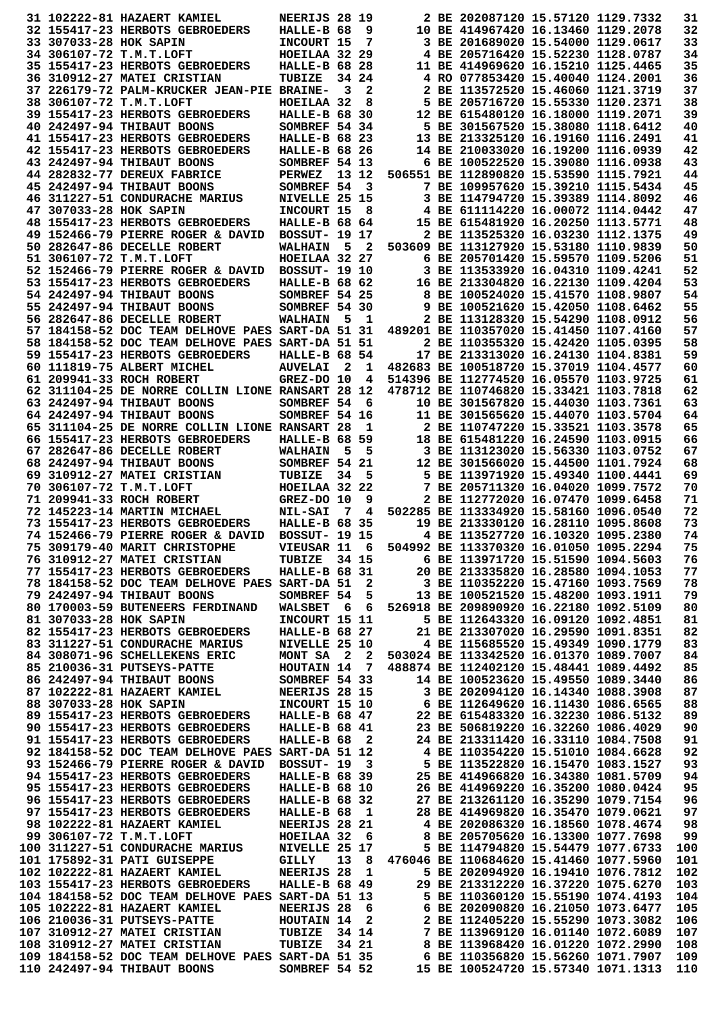|                        | 31 102222-81 HAZAERT KAMIEL                                                                                                                                                                                                          | NEERIJS 28 19                         |                         |                            |                                                                                                                                                    | 2 BE 202087120 15.57120 1129.7332                                                |  | 31         |
|------------------------|--------------------------------------------------------------------------------------------------------------------------------------------------------------------------------------------------------------------------------------|---------------------------------------|-------------------------|----------------------------|----------------------------------------------------------------------------------------------------------------------------------------------------|----------------------------------------------------------------------------------|--|------------|
|                        | 32 155417-23 HERBOTS GEBROEDERS                                                                                                                                                                                                      | HALLE-B 68                            |                         | - 9                        |                                                                                                                                                    | 10 BE 414967420 16.13460 1129.2078                                               |  | 32         |
| 33 307033-28 HOK SAPIN |                                                                                                                                                                                                                                      | INCOURT 15                            |                         | 7                          |                                                                                                                                                    | 3 BE 201689020 15.54000 1129.0617                                                |  | 33         |
|                        | 34 306107-72 T.M.T.LOFT                                                                                                                                                                                                              | HOEILAA 32 29                         |                         |                            |                                                                                                                                                    | 4 BE 205716420 15.52230 1128.0787                                                |  | 34         |
|                        | 35 155417-23 HERBOTS GEBROEDERS                                                                                                                                                                                                      | <b>HALLE-B 68 28</b>                  |                         |                            |                                                                                                                                                    | 11 BE 414969620 16.15210 1125.4465                                               |  | 35         |
|                        | 36 310912-27 MATEI CRISTIAN                                                                                                                                                                                                          | TUBIZE                                |                         | 34 24                      |                                                                                                                                                    | 4 RO 077853420 15.40040 1124.2001                                                |  | 36         |
|                        | 37 226179-72 PALM-KRUCKER JEAN-PIE BRAINE-<br>38 306107-72 T.M.T.LOFT                                                                                                                                                                | HOEILAA 32                            | 3                       | 2<br>8                     |                                                                                                                                                    | 2 BE 113572520 15.46060 1121.3719<br>5 BE 205716720 15.55330 1120.2371           |  | 37<br>38   |
|                        | 39 155417-23 HERBOTS GEBROEDERS                                                                                                                                                                                                      | <b>HALLE-B 68 30</b>                  |                         |                            |                                                                                                                                                    | 12 BE 615480120 16.18000 1119.2071                                               |  | 39         |
|                        | 40 242497-94 THIBAUT BOONS                                                                                                                                                                                                           | SOMBREF 54 34                         |                         |                            |                                                                                                                                                    | 5 BE 301567520 15.38080 1118.6412                                                |  | 40         |
|                        | 41 155417-23 HERBOTS GEBROEDERS                                                                                                                                                                                                      | <b>HALLE-B 68 23</b>                  |                         |                            |                                                                                                                                                    | 13 BE 213325120 16.19160 1116.2491                                               |  | 41         |
|                        | 42 155417-23 HERBOTS GEBROEDERS                                                                                                                                                                                                      | <b>HALLE-B 68 26</b>                  |                         |                            |                                                                                                                                                    | 14 BE 210033020 16.19200 1116.0939                                               |  | 42         |
|                        | 43 242497-94 THIBAUT BOONS                                                                                                                                                                                                           | SOMBREF 54 13                         |                         |                            |                                                                                                                                                    | 6 BE 100522520 15.39080 1116.0938                                                |  | 43         |
|                        | 44 282832-77 DEREUX FABRICE                                                                                                                                                                                                          | <b>PERWEZ</b>                         |                         | 13 12                      |                                                                                                                                                    | 506551 BE 112890820 15.53590 1115.7921                                           |  | 44         |
|                        | 45 242497-94 THIBAUT BOONS                                                                                                                                                                                                           | SOMBREF 54                            |                         | 3                          |                                                                                                                                                    | 7 BE 109957620 15.39210 1115.5434                                                |  | 45         |
|                        | 46 311227-51 CONDURACHE MARIUS                                                                                                                                                                                                       | NIVELLE 25 15                         |                         |                            |                                                                                                                                                    | 3 BE 114794720 15.39389 1114.8092                                                |  | 46         |
| 47 307033-28 HOK SAPIN |                                                                                                                                                                                                                                      | INCOURT 15                            |                         | - 8                        |                                                                                                                                                    | 4 BE 611114220 16.00072 1114.0442                                                |  | 47<br>48   |
|                        | 48 155417-23 HERBOTS GEBROEDERS<br>49 152466-79 PIERRE ROGER & DAVID                                                                                                                                                                 | HALLE-B 68 64<br><b>BOSSUT- 19 17</b> |                         |                            |                                                                                                                                                    | 15 BE 615481920 16.20250 1113.5771<br>2 BE 113525320 16.03230 1112.1375          |  | 49         |
|                        | 50 282647-86 DECELLE ROBERT                                                                                                                                                                                                          | <b>WALHAIN</b>                        | - 5                     | $\overline{\phantom{a}}^2$ |                                                                                                                                                    | 503609 BE 113127920 15.53180 1110.9839                                           |  | 50         |
|                        | 51 306107-72 T.M.T.LOFT                                                                                                                                                                                                              | HOEILAA 32 27                         |                         |                            |                                                                                                                                                    | 6 BE 205701420 15.59570 1109.5206                                                |  | 51         |
|                        | 52 152466-79 PIERRE ROGER & DAVID                                                                                                                                                                                                    | <b>BOSSUT- 19 10</b>                  |                         |                            |                                                                                                                                                    | 3 BE 113533920 16.04310 1109.4241                                                |  | 52         |
|                        | 53 155417-23 HERBOTS GEBROEDERS                                                                                                                                                                                                      | <b>HALLE-B 68 62</b>                  |                         |                            |                                                                                                                                                    | 16 BE 213304820 16.22130 1109.4204                                               |  | 53         |
|                        | 54 242497-94 THIBAUT BOONS                                                                                                                                                                                                           | SOMBREF 54 25                         |                         |                            |                                                                                                                                                    | 8 BE 100524020 15.41570 1108.9807                                                |  | 54         |
|                        | 55 242497-94 THIBAUT BOONS                                                                                                                                                                                                           | SOMBREF 54 30                         |                         |                            |                                                                                                                                                    | 9 BE 100521620 15.42050 1108.6462                                                |  | 55         |
|                        | 56 282647-86 DECELLE ROBERT                                                                                                                                                                                                          | <b>WALHAIN</b>                        | - 5                     | - 1                        |                                                                                                                                                    | 2 BE 113128320 15.54290 1108.0912                                                |  | 56         |
|                        | 57 184158-52 DOC TEAM DELHOVE PAES SART-DA 51 31                                                                                                                                                                                     |                                       |                         |                            |                                                                                                                                                    | 489201 BE 110357020 15.41450 1107.4160                                           |  | 57         |
|                        | 58 184158-52 DOC TEAM DELHOVE PAES SART-DA 51 51                                                                                                                                                                                     |                                       |                         |                            |                                                                                                                                                    | 2 BE 110355320 15.42420 1105.0395                                                |  | 58         |
|                        | 59 155417-23 HERBOTS GEBROEDERS                                                                                                                                                                                                      | HALLE-B 68 54                         |                         |                            |                                                                                                                                                    | 17 BE 213313020 16.24130 1104.8381                                               |  | 59         |
|                        | 60 111819-75 ALBERT MICHEL                                                                                                                                                                                                           | <b>AUVELAI</b>                        | $\overline{\mathbf{2}}$ | $\mathbf{1}$               |                                                                                                                                                    | 482683 BE 100518720 15.37019 1104.4577                                           |  | 60         |
|                        | 61 209941-33 ROCH ROBERT<br>62 311104-25 DE NORRE COLLIN LIONE RANSART 28 12                                                                                                                                                         | GREZ-DO 10                            |                         | 4                          |                                                                                                                                                    | 514396 BE 112774520 16.05570 1103.9725<br>478712 BE 110746820 15.33421 1103.7818 |  | 61<br>62   |
|                        | 63 242497-94 THIBAUT BOONS                                                                                                                                                                                                           | SOMBREF 54                            |                         | 6                          |                                                                                                                                                    | 10 BE 301567820 15.44030 1103.7361                                               |  | 63         |
|                        | 64 242497-94 THIBAUT BOONS                                                                                                                                                                                                           | SOMBREF 54 16                         |                         |                            |                                                                                                                                                    | 11 BE 301565620 15.44070 1103.5704                                               |  | 64         |
|                        | 65 311104-25 DE NORRE COLLIN LIONE RANSART 28                                                                                                                                                                                        |                                       |                         | 1                          |                                                                                                                                                    | 2 BE 110747220 15.33521 1103.3578                                                |  | 65         |
|                        | 66 155417-23 HERBOTS GEBROEDERS                                                                                                                                                                                                      | <b>HALLE-B 68 59</b>                  |                         |                            |                                                                                                                                                    | 18 BE 615481220 16.24590 1103.0915                                               |  | 66         |
|                        | 67 282647-86 DECELLE ROBERT                                                                                                                                                                                                          | <b>WALHAIN</b>                        | 5                       | 5                          |                                                                                                                                                    | 3 BE 113123020 15.56330 1103.0752                                                |  | 67         |
|                        | 68 242497-94 THIBAUT BOONS                                                                                                                                                                                                           | SOMBREF 54 21                         |                         |                            |                                                                                                                                                    | 12 BE 301566020 15.44500 1101.7924                                               |  | 68         |
|                        | 69 310912-27 MATEI CRISTIAN                                                                                                                                                                                                          | TUBIZE                                | 34                      | 5                          |                                                                                                                                                    | 5 BE 113971920 15.49340 1100.4441                                                |  | 69         |
|                        | 70 306107-72 T.M.T.LOFT                                                                                                                                                                                                              | HOEILAA 32 22                         |                         |                            |                                                                                                                                                    | 7 BE 205711320 16.04020 1099.7572                                                |  | 70         |
|                        | 71 209941-33 ROCH ROBERT                                                                                                                                                                                                             | GREZ-DO 10                            |                         | 9                          |                                                                                                                                                    | 2 BE 112772020 16.07470 1099.6458                                                |  | 71         |
|                        | 72 145223-14 MARTIN MICHAEL                                                                                                                                                                                                          | <b>NIL-SAI</b>                        | 7                       | 4                          |                                                                                                                                                    | 502285 BE 113334920 15.58160 1096.0540                                           |  | 72         |
|                        | 73 155417-23 HERBOTS GEBROEDERS                                                                                                                                                                                                      | <b>HALLE-B 68 35</b>                  |                         |                            |                                                                                                                                                    | 19 BE 213330120 16.28110 1095.8608                                               |  | 73         |
|                        | 74 152466-79 PIERRE ROGER & DAVID                                                                                                                                                                                                    | <b>BOSSUT- 19 15</b>                  |                         |                            |                                                                                                                                                    | 4 BE 113527720 16.10320 1095.2380                                                |  | 74         |
|                        | 75 309179-40 MARIT CHRISTOPHE                                                                                                                                                                                                        | <b>VIEUSAR 11</b>                     |                         | 6                          |                                                                                                                                                    |                                                                                  |  | 75         |
|                        | 76 310912-27 MATEI CRISTIAN<br>77 155417-23 HERBOTS GEBROEDERS HALLE-B 68 31                                                                                                                                                         | TUBIZE 34 15                          |                         |                            | 6.01050 1095.2294<br>6 BE 113971720 15.51590 1094.5603<br>20 BE 213335820 16.28580 1094.1053<br>3 BE 110352220 15.4716                             |                                                                                  |  | 76<br>77   |
|                        | 78 184158-52 DOC TEAM DELHOVE PAES SART-DA 51 2                                                                                                                                                                                      |                                       |                         |                            |                                                                                                                                                    | 3 BE 110352220 15.47160 1093.7569                                                |  | 78         |
|                        | 79 242497-94 THIBAUT BOONS                                                                                                                                                                                                           | SOMBREF 54                            |                         |                            | $5^{\circ}$                                                                                                                                        | 13 BE 100521520 15.48200 1093.1911                                               |  | 79         |
|                        | 80 170003-59 BUTENEERS FERDINAND                                                                                                                                                                                                     |                                       |                         |                            | WALSBET 6 6 526918 BE 209890920 16.22180 1092.5109                                                                                                 |                                                                                  |  | 80         |
| 81 307033-28 HOK SAPIN |                                                                                                                                                                                                                                      | INCOURT 15 11                         |                         |                            |                                                                                                                                                    | 5 BE 112643320 16.09120 1092.4851                                                |  | 81         |
|                        | 82 155417-23 HERBOTS GEBROEDERS                                                                                                                                                                                                      | <b>HALLE-B 68 27</b>                  |                         |                            |                                                                                                                                                    | 21 BE 213307020 16.29590 1091.8351                                               |  | 82         |
|                        | 83 311227-51 CONDURACHE MARIUS                                                                                                                                                                                                       | <b>NIVELLE 25 10</b>                  |                         |                            | 4 BE 115685520 15.49349 1090.1779                                                                                                                  |                                                                                  |  | 83         |
|                        | 84 308071-96 SCHELLEKENS ERIC                                                                                                                                                                                                        |                                       |                         |                            | MONT SA 2 2 503024 BE 113342520 16.01370 1089.7007                                                                                                 |                                                                                  |  | 84         |
|                        | 85 210036-31 PUTSEYS-PATTE                                                                                                                                                                                                           | <b>HOUTAIN 14 7<br/>SOMBREF 54 33</b> |                         |                            |                                                                                                                                                    | 488874 BE 112402120 15.48441 1089.4492                                           |  | 85         |
|                        | 86 242497-94 THIBAUT BOONS                                                                                                                                                                                                           |                                       |                         |                            |                                                                                                                                                    | 14 BE 100523620 15.49550 1089.3440                                               |  | 86         |
|                        | 87 102222-81 HAZAERT KAMIEL NEERIJS 28 15                                                                                                                                                                                            |                                       |                         |                            | 3 BE 202094120 16.14340 1088.3908<br>6 BE 112649620 16.11430 1086.6565<br>22 BE 615483320 16.32230 1086.5132<br>23 BE 506819220 16.32260 1086.4029 |                                                                                  |  | 87         |
|                        | 88 307033-28 HOK SAPIN 1NCOURT 15 10<br>89 155417-23 HERBOTS GEBROEDERS HALLE-B 68 47                                                                                                                                                |                                       |                         |                            |                                                                                                                                                    |                                                                                  |  | 88         |
|                        | 90 155417-23 HERBOTS GEBROEDERS                                                                                                                                                                                                      | HALLE-B 68 41                         |                         |                            |                                                                                                                                                    |                                                                                  |  | 89<br>90   |
|                        | 91 155417-23 HERBOTS GEBROEDERS                                                                                                                                                                                                      | HALLE-B $68$ 2                        |                         |                            |                                                                                                                                                    | 24 BE 213311420 16.33110 1084.7508                                               |  | 91         |
|                        | 92 184158-52 DOC TEAM DELHOVE PAES SART-DA 51 12                                                                                                                                                                                     |                                       |                         |                            |                                                                                                                                                    |                                                                                  |  | 92         |
|                        | 93 152466-79 PIERRE ROGER & DAVID                                                                                                                                                                                                    | BOSSUT-193                            |                         |                            | 4 BE 110354220 13.31327<br>5 BE 113522820 16.15470 1083.1527<br>16 34380 1081.5709                                                                 |                                                                                  |  | 93         |
|                        | 94 155417-23 HERBOTS GEBROEDERS                                                                                                                                                                                                      | <b>HALLE-B 68 39</b>                  |                         |                            |                                                                                                                                                    |                                                                                  |  | 94         |
|                        | 95 155417-23 HERBOTS GEBROEDERS                                                                                                                                                                                                      | HALLE-B 68 10                         |                         |                            | 25 BE 414966820 16.34380 1081.5709<br>26 BE 414969220 16.35200 1080.0424                                                                           |                                                                                  |  | 95         |
|                        | 96 155417-23 HERBOTS GEBROEDERS                                                                                                                                                                                                      | <b>HALLE-B 68 32</b>                  |                         |                            |                                                                                                                                                    | 27 BE 213261120 16.35290 1079.7154                                               |  | 96         |
|                        | 97 155417-23 HERBOTS GEBROEDERS                                                                                                                                                                                                      | HALLE-B 68 1                          |                         |                            |                                                                                                                                                    | 28 BE 414969820 16.35470 1079.0621                                               |  | 97         |
|                        | 98 102222-81 HAZAERT KAMIEL                                                                                                                                                                                                          | <b>NEERIJS 28 21</b>                  |                         |                            |                                                                                                                                                    | 4 BE 202086320 16.18560 1078.4674                                                |  | 98         |
|                        | 99 306107-72 T.M.T.LOFT<br>100 311227-51 CONDURACHE MARIUS NIVELLE 25 17<br>201 175002-31 PATI GUISEPPE GILLY 13 8                                                                                                                   | HOEILAA 32 6                          |                         |                            |                                                                                                                                                    | 8 BE 205705620 16.13300 1077.7698                                                |  | 99         |
|                        |                                                                                                                                                                                                                                      |                                       |                         |                            |                                                                                                                                                    | 5 BE 114794820 15.54479 1077.6733                                                |  | 100        |
|                        |                                                                                                                                                                                                                                      |                                       |                         | 13 8                       | 476046 BE 110684620 15.41460 1077.5960                                                                                                             |                                                                                  |  | 101        |
|                        | 102 102222-81 HAZAERT KAMIEL                                                                                                                                                                                                         | <b>NEERIJS 28</b>                     |                         | $\mathbf{1}$               |                                                                                                                                                    | 5 BE 202094920 16.19410 1076.7812                                                |  | 102        |
|                        | 103 155417-23 HERBOTS GEBROEDERS HALLE-B 68 49                                                                                                                                                                                       |                                       |                         |                            | 29 BE 213312220 16.37220 1075.6270                                                                                                                 |                                                                                  |  | 103        |
|                        | 104 184158-52 DOC TEAM DELHOVE PAES SART-DA 51 13                                                                                                                                                                                    |                                       |                         |                            | SART-DA 51 13 5 BE 110360120 15.55190 1074.4193<br>NEERIJS 28 6 6 BE 202090820 16.21050 1073.6477                                                  |                                                                                  |  | 104        |
|                        | 105 102222-81 HAZAERT KAMIEL                                                                                                                                                                                                         |                                       |                         |                            |                                                                                                                                                    |                                                                                  |  | 105<br>106 |
|                        | 106 210036-31 PUTSEYS-PATTE HOUTAIN 14 2 2 BE 112405220 15.55290 1073.3082<br>107 310912-27 MATEI CRISTIAN TUBIZE 34 14 7 BE 113969120 16.01140 1072.6089<br>108 310912-27 MATEI CRISTIAN TUBIZE 34 21 8 BE 113968420 16.01220 1072. |                                       |                         |                            |                                                                                                                                                    |                                                                                  |  | 107        |
|                        |                                                                                                                                                                                                                                      |                                       |                         |                            |                                                                                                                                                    |                                                                                  |  | 108        |
|                        | 109 184158-52 DOC TEAM DELHOVE PAES SART-DA 51 35 6 BE 110356820 15.56260 1071.7907<br>110 242497-94 THIBAUT BOONS SOMBREF 54 52 15 BE 100524720 15.57340 1071.1313                                                                  |                                       |                         |                            |                                                                                                                                                    |                                                                                  |  | 109        |
|                        |                                                                                                                                                                                                                                      |                                       |                         |                            |                                                                                                                                                    |                                                                                  |  | 110        |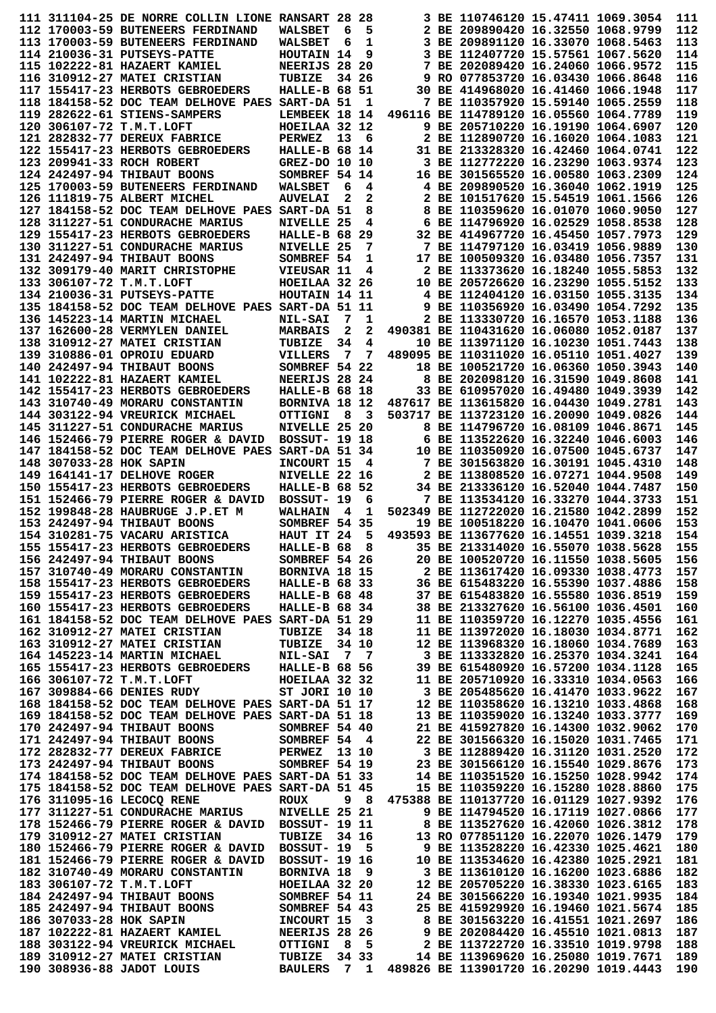|                         | 111 311104-25 DE NORRE COLLIN LIONE RANSART 28                                                                                                                                                                                                                                                                                                                                                               |                                |       | 28       |                                                                                                                                                                                                                                | 3 BE 110746120 15.47411 1069.3054                                            |  | 111        |
|-------------------------|--------------------------------------------------------------------------------------------------------------------------------------------------------------------------------------------------------------------------------------------------------------------------------------------------------------------------------------------------------------------------------------------------------------|--------------------------------|-------|----------|--------------------------------------------------------------------------------------------------------------------------------------------------------------------------------------------------------------------------------|------------------------------------------------------------------------------|--|------------|
|                         | 112 170003-59 BUTENEERS FERDINAND                                                                                                                                                                                                                                                                                                                                                                            | <b>WALSBET</b>                 | 6     | 5        |                                                                                                                                                                                                                                | 2 BE 209890420 16.32550 1068.9799                                            |  | 112        |
|                         | 113 170003-59 BUTENEERS FERDINAND                                                                                                                                                                                                                                                                                                                                                                            | <b>WALSBET</b>                 | 6     | 1        |                                                                                                                                                                                                                                | 3 BE 209891120 16.33070 1068.5463                                            |  | 113        |
|                         | 114 210036-31 PUTSEYS-PATTE                                                                                                                                                                                                                                                                                                                                                                                  | HOUTAIN 14                     |       | 9        |                                                                                                                                                                                                                                | 3 BE 112407720 15.57561 1067.5620                                            |  | 114        |
|                         | 115 102222-81 HAZAERT KAMIEL                                                                                                                                                                                                                                                                                                                                                                                 | NEERIJS 28 20                  |       |          |                                                                                                                                                                                                                                | 7 BE 202089420 16.24060 1066.9572                                            |  | 115        |
|                         | 116 310912-27 MATEI CRISTIAN                                                                                                                                                                                                                                                                                                                                                                                 | TUBIZE                         |       | 34 26    |                                                                                                                                                                                                                                | 9 RO 077853720 16.03430 1066.8648                                            |  | 116        |
|                         | 117 155417-23 HERBOTS GEBROEDERS                                                                                                                                                                                                                                                                                                                                                                             | HALLE-B 68 51                  |       |          |                                                                                                                                                                                                                                | 30 BE 414968020 16.41460 1066.1948                                           |  | 117        |
|                         | 118 184158-52 DOC TEAM DELHOVE PAES SART-DA 51<br>119 282622-61 STIENS-SAMPERS                                                                                                                                                                                                                                                                                                                               | LEMBEEK 18 14                  |       | 1        |                                                                                                                                                                                                                                | 7 BE 110357920 15.59140 1065.2559<br>496116 BE 114789120 16.05560 1064.7789  |  | 118<br>119 |
|                         | 120 306107-72 T.M.T.LOFT                                                                                                                                                                                                                                                                                                                                                                                     | HOEILAA 32 12                  |       |          |                                                                                                                                                                                                                                | 9 BE 205710220 16.19190 1064.6907                                            |  | 120        |
|                         | 121 282832-77 DEREUX FABRICE                                                                                                                                                                                                                                                                                                                                                                                 | <b>PERWEZ</b>                  | 13    | 6        |                                                                                                                                                                                                                                | 2 BE 112890720 16.16020 1064.1083                                            |  | 121        |
|                         | 122 155417-23 HERBOTS GEBROEDERS                                                                                                                                                                                                                                                                                                                                                                             | HALLE-B 68 14                  |       |          |                                                                                                                                                                                                                                | 31 BE 213328320 16.42460 1064.0741                                           |  | 122        |
|                         | 123 209941-33 ROCH ROBERT                                                                                                                                                                                                                                                                                                                                                                                    | GREZ-DO 10 10                  |       |          |                                                                                                                                                                                                                                | 3 BE 112772220 16.23290 1063.9374                                            |  | 123        |
|                         | 124 242497-94 THIBAUT BOONS                                                                                                                                                                                                                                                                                                                                                                                  | SOMBREF 54 14                  |       |          |                                                                                                                                                                                                                                | 16 BE 301565520 16.00580 1063.2309                                           |  | 124        |
|                         | 125 170003-59 BUTENEERS FERDINAND                                                                                                                                                                                                                                                                                                                                                                            | WALSBET                        | 6     | 4        |                                                                                                                                                                                                                                | 4 BE 209890520 16.36040 1062.1919                                            |  | 125        |
|                         | 126 111819-75 ALBERT MICHEL                                                                                                                                                                                                                                                                                                                                                                                  | <b>AUVELAI</b>                 | 2     | 2        |                                                                                                                                                                                                                                | 2 BE 101517620 15.54519 1061.1566                                            |  | 126        |
|                         | 127 184158-52 DOC TEAM DELHOVE PAES SART-DA 51                                                                                                                                                                                                                                                                                                                                                               |                                |       | 8        |                                                                                                                                                                                                                                | 8 BE 110359620 16.01070 1060.9050                                            |  | 127        |
|                         | 128 311227-51 CONDURACHE MARIUS                                                                                                                                                                                                                                                                                                                                                                              | NIVELLE 25                     |       | 4        |                                                                                                                                                                                                                                | 6 BE 114796920 16.02529 1058.8538<br>32 BE 414967720 16.45450 1057.7973      |  | 128<br>129 |
|                         | 129 155417-23 HERBOTS GEBROEDERS<br>130 311227-51 CONDURACHE MARIUS                                                                                                                                                                                                                                                                                                                                          | HALLE-B 68<br>NIVELLE 25       |       | 29<br>7  |                                                                                                                                                                                                                                | 7 BE 114797120 16.03419 1056.9889                                            |  | 130        |
|                         | 131 242497-94 THIBAUT BOONS                                                                                                                                                                                                                                                                                                                                                                                  | SOMBREF 54                     |       | 1        |                                                                                                                                                                                                                                | 17 BE 100509320 16.03480 1056.7357                                           |  | 131        |
|                         | 132 309179-40 MARIT CHRISTOPHE                                                                                                                                                                                                                                                                                                                                                                               | VIEUSAR 11                     |       | 4        |                                                                                                                                                                                                                                | 2 BE 113373620 16.18240 1055.5853                                            |  | 132        |
|                         | 133 306107-72 T.M.T.LOFT                                                                                                                                                                                                                                                                                                                                                                                     | HOEILAA 32 26                  |       |          |                                                                                                                                                                                                                                | 10 BE 205726620 16.23290 1055.5152                                           |  | 133        |
|                         | 134 210036-31 PUTSEYS-PATTE                                                                                                                                                                                                                                                                                                                                                                                  | HOUTAIN 14 11                  |       |          |                                                                                                                                                                                                                                | 4 BE 112404120 16.03150 1055.3135                                            |  | 134        |
|                         | 135 184158-52 DOC TEAM DELHOVE PAES SART-DA 51 11                                                                                                                                                                                                                                                                                                                                                            |                                |       |          |                                                                                                                                                                                                                                | 9 BE 110356920 16.03490 1054.7292                                            |  | 135        |
|                         | 136 145223-14 MARTIN MICHAEL                                                                                                                                                                                                                                                                                                                                                                                 | <b>NIL-SAI</b>                 | 7     | 1        |                                                                                                                                                                                                                                | 2 BE 113330720 16.16570 1053.1188                                            |  | 136        |
|                         | 137 162600-28 VERMYLEN DANIEL                                                                                                                                                                                                                                                                                                                                                                                | <b>MARBAIS</b>                 | 2     | 2        |                                                                                                                                                                                                                                | 490381 BE 110431620 16.06080 1052.0187                                       |  | 137        |
|                         | 138 310912-27 MATEI CRISTIAN                                                                                                                                                                                                                                                                                                                                                                                 | TUBIZE                         | 34    | 4        |                                                                                                                                                                                                                                | 10 BE 113971120 16.10230 1051.7443                                           |  | 138        |
|                         | 139 310886-01 OPROIU EDUARD                                                                                                                                                                                                                                                                                                                                                                                  | <b>VILLERS</b>                 | 7     | 7        |                                                                                                                                                                                                                                | 489095 BE 110311020 16.05110 1051.4027                                       |  | 139        |
|                         | 140 242497-94 THIBAUT BOONS                                                                                                                                                                                                                                                                                                                                                                                  | SOMBREF 54 22                  |       |          |                                                                                                                                                                                                                                | 18 BE 100521720 16.06360 1050.3943                                           |  | 140        |
|                         | 141 102222-81 HAZAERT KAMIEL<br>142 155417-23 HERBOTS GEBROEDERS                                                                                                                                                                                                                                                                                                                                             | NEERIJS 28 24                  |       |          |                                                                                                                                                                                                                                | 8 BE 202098120 16.31590 1049.8608<br>33 BE 610957020 16.49480 1049.3939      |  | 141<br>142 |
|                         | 143 310740-49 MORARU CONSTANTIN                                                                                                                                                                                                                                                                                                                                                                              | HALLE-B 68 18<br>BORNIVA 18 12 |       |          |                                                                                                                                                                                                                                | 487617 BE 113615820 16.04430 1049.2781                                       |  | 143        |
|                         | 144 303122-94 VREURICK MICHAEL                                                                                                                                                                                                                                                                                                                                                                               | <b>OTTIGNI</b>                 | 8     | 3        |                                                                                                                                                                                                                                | 503717 BE 113723120 16.20090 1049.0826                                       |  | 144        |
|                         | 145 311227-51 CONDURACHE MARIUS                                                                                                                                                                                                                                                                                                                                                                              | NIVELLE 25 20                  |       |          |                                                                                                                                                                                                                                | 8 BE 114796720 16.08109 1046.8671                                            |  | 145        |
|                         | 146 152466-79 PIERRE ROGER & DAVID                                                                                                                                                                                                                                                                                                                                                                           | <b>BOSSUT- 19 18</b>           |       |          |                                                                                                                                                                                                                                | 6 BE 113522620 16.32240 1046.6003                                            |  | 146        |
|                         | 147 184158-52 DOC TEAM DELHOVE PAES                                                                                                                                                                                                                                                                                                                                                                          | SART-DA 51 34                  |       |          |                                                                                                                                                                                                                                | 10 BE 110350920 16.07500 1045.6737                                           |  | 147        |
| 148 307033-28 HOK SAPIN |                                                                                                                                                                                                                                                                                                                                                                                                              | INCOURT 15                     |       | 4        |                                                                                                                                                                                                                                | 7 BE 301563820 16.30191 1045.4310                                            |  | 148        |
|                         | 149 164141-17 DELHOVE ROGER                                                                                                                                                                                                                                                                                                                                                                                  | NIVELLE 22 16                  |       |          |                                                                                                                                                                                                                                | 2 BE 113808520 16.07271 1044.9508                                            |  | 149        |
|                         | 150 155417-23 HERBOTS GEBROEDERS                                                                                                                                                                                                                                                                                                                                                                             | <b>HALLE-B 68 52</b>           |       |          |                                                                                                                                                                                                                                | 34 BE 213336120 16.52040 1044.7487                                           |  | 150        |
|                         | 151 152466-79 PIERRE ROGER & DAVID                                                                                                                                                                                                                                                                                                                                                                           | BOSSUT- 19                     |       | 6        |                                                                                                                                                                                                                                | 7 BE 113534120 16.33270 1044.3733                                            |  | 151        |
|                         | 152 199848-28 HAUBRUGE J.P.ET M                                                                                                                                                                                                                                                                                                                                                                              | <b>WALHAIN</b>                 | - 4   | 1        |                                                                                                                                                                                                                                | 502349 BE 112722020 16.21580 1042.2899                                       |  | 152        |
|                         | 153 242497-94 THIBAUT BOONS                                                                                                                                                                                                                                                                                                                                                                                  | SOMBREF 54 35                  |       |          |                                                                                                                                                                                                                                | 19 BE 100518220 16.10470 1041.0606                                           |  | 153        |
|                         | 154 310281-75 VACARU ARISTICA<br>155 155417-23 HERBOTS GEBROEDERS                                                                                                                                                                                                                                                                                                                                            | HAUT IT 24                     |       | - 5<br>8 |                                                                                                                                                                                                                                | 493593 BE 113677620 16.14551 1039.3218<br>35 BE 213314020 16.55070 1038.5628 |  | 154<br>155 |
|                         | 156 242497-94 THIBAUT BOONS                                                                                                                                                                                                                                                                                                                                                                                  | HALLE-B 68<br>SOMBREF 54 26    |       |          |                                                                                                                                                                                                                                | 20 BE 100520720 16.11550 1038.5605                                           |  | 156        |
|                         |                                                                                                                                                                                                                                                                                                                                                                                                              |                                |       |          |                                                                                                                                                                                                                                | 2 BE 113617420 16.09330 1038.4773                                            |  | 157        |
|                         | 158 155417-23 HERBOTS GEBROEDERS                                                                                                                                                                                                                                                                                                                                                                             | <b>HALLE-B 68 33</b>           |       |          |                                                                                                                                                                                                                                | 36 BE 615483220 16.55390 1037.4886                                           |  | 158        |
|                         | 159 155417-23 HERBOTS GEBROEDERS                                                                                                                                                                                                                                                                                                                                                                             | <b>HALLE-B 68 48</b>           |       |          |                                                                                                                                                                                                                                | 37 BE 615483820 16.55580 1036.8519                                           |  | 159        |
|                         | 160 155417-23 HERBOTS GEBROEDERS                                                                                                                                                                                                                                                                                                                                                                             | HALLE-B 68 34                  |       |          |                                                                                                                                                                                                                                | 38 BE 213327620 16.56100 1036.4501                                           |  | 160        |
|                         | 161 184158-52 DOC TEAM DELHOVE PAES SART-DA 51 29                                                                                                                                                                                                                                                                                                                                                            |                                |       |          |                                                                                                                                                                                                                                | 11 BE 110359720 16.12270 1035.4556                                           |  | 161        |
|                         | 162 310912-27 MATEI CRISTIAN                                                                                                                                                                                                                                                                                                                                                                                 | TUBIZE                         | 34 18 |          |                                                                                                                                                                                                                                | 11 BE 113972020 16.18030 1034.8771                                           |  | 162        |
|                         | 163 310912-27 MATEI CRISTIAN                                                                                                                                                                                                                                                                                                                                                                                 | TUBIZE 34 10                   |       |          |                                                                                                                                                                                                                                | 12 BE 113968320 16.18060 1034.7689                                           |  | 163        |
|                         | 164 145223-14 MARTIN MICHAEL NIL-SAI 7 7                                                                                                                                                                                                                                                                                                                                                                     |                                |       |          |                                                                                                                                                                                                                                | 3 BE 113332820 16.25370 1034.3241                                            |  | 164        |
|                         | 165 155417-23 HERBOTS GEBROEDERS HALLE-B 68 56                                                                                                                                                                                                                                                                                                                                                               |                                |       |          |                                                                                                                                                                                                                                | 39 BE 615480920 16.57200 1034.1128<br>11 BE 205710920 16.33310 1034.0563     |  | 165<br>166 |
|                         | 166 306107-72 T.M.T.LOFT HOEILAA 32 32<br>167 309884-66 DENIES RUDY ST JORI 10 10                                                                                                                                                                                                                                                                                                                            |                                |       |          |                                                                                                                                                                                                                                | 3 BE 205485620 16.41470 1033.9622                                            |  | 167        |
|                         | 168 184158-52 DOC TEAM DELHOVE PAES SART-DA 51 17                                                                                                                                                                                                                                                                                                                                                            |                                |       |          |                                                                                                                                                                                                                                |                                                                              |  | 168        |
|                         | 169 184158-52 DOC TEAM DELHOVE PAES SART-DA 51 18                                                                                                                                                                                                                                                                                                                                                            |                                |       |          | 12 BE 110358620 16.13210 1033.4868<br>13 BE 110359020 16.13240 1033.3777<br>21 BE 415927820 16.14300 1032.9062                                                                                                                 |                                                                              |  | 169        |
|                         | 170 242497-94 THIBAUT BOONS                                                                                                                                                                                                                                                                                                                                                                                  | SOMBREF 54 40                  |       |          |                                                                                                                                                                                                                                | 21 BE 415927820 16.14300 1032.9062                                           |  | 170        |
|                         | 171 242497-94 THIBAUT BOONS SOMBREF 54 4                                                                                                                                                                                                                                                                                                                                                                     |                                |       |          |                                                                                                                                                                                                                                | 22 BE 301566320 16.15020 1031.7465                                           |  | 171        |
|                         | 172 282832-77 DEREUX FABRICE PERWEZ 13 10<br>173 242497-94 THIBAUT BOONS SOMBREF 54 19                                                                                                                                                                                                                                                                                                                       |                                |       |          | 3 BE 112889420 16.31120 1031.2520<br>23 BE 301566120 16.15540 1029.8676                                                                                                                                                        |                                                                              |  | 172        |
|                         |                                                                                                                                                                                                                                                                                                                                                                                                              |                                |       |          |                                                                                                                                                                                                                                |                                                                              |  | 173        |
|                         | 174 184158-52 DOC TEAM DELHOVE PAES SART-DA 51 33                                                                                                                                                                                                                                                                                                                                                            |                                |       |          | 14 BE 110351520 16.15250 1028.9942                                                                                                                                                                                             |                                                                              |  | 174        |
|                         | 175 184158-52 DOC TEAM DELHOVE PAES SART-DA 51 45                                                                                                                                                                                                                                                                                                                                                            |                                |       |          |                                                                                                                                                                                                                                | 15 BE 110359220 16.15280 1028.8860                                           |  | 175        |
|                         | 176 311095-16 LECOCO RENE                                                                                                                                                                                                                                                                                                                                                                                    | ROUX                           |       | 9 8      |                                                                                                                                                                                                                                | 475388 BE 110137720 16.01129 1027.9392                                       |  | 176        |
|                         | 177 311227-51 CONDURACHE MARIUS                                                                                                                                                                                                                                                                                                                                                                              | NIVELLE 25 21                  |       |          |                                                                                                                                                                                                                                | 9 BE 114794520 16.17119 1027.0866                                            |  | 177        |
|                         | 178 152466-79 PIERRE ROGER & DAVID BOSSUT- 19 11<br>179 310912-27 MATEI CRISTIAN                                                                                                                                                                                                                                                                                                                             | TUBIZE 34 16                   |       |          | 9 BE 114794520 16.17119 1027.0866<br>8 BE 113527620 16.42060 1026.3812<br>13 RO 077851120 16.22070 1026.1479                                                                                                                   |                                                                              |  | 178<br>179 |
|                         | 180 152466-79 PIERRE ROGER & DAVID                                                                                                                                                                                                                                                                                                                                                                           | BOSSUT- 19 5                   |       |          |                                                                                                                                                                                                                                |                                                                              |  | 180        |
|                         | 181 152466-79 PIERRE ROGER & DAVID                                                                                                                                                                                                                                                                                                                                                                           | <b>BOSSUT- 19 16</b>           |       |          |                                                                                                                                                                                                                                |                                                                              |  | 181        |
|                         | 182 310740-49 MORARU CONSTANTIN                                                                                                                                                                                                                                                                                                                                                                              | BORNIVA 18 9                   |       |          |                                                                                                                                                                                                                                |                                                                              |  | 182        |
|                         |                                                                                                                                                                                                                                                                                                                                                                                                              |                                |       |          |                                                                                                                                                                                                                                |                                                                              |  | 183        |
|                         |                                                                                                                                                                                                                                                                                                                                                                                                              |                                |       |          |                                                                                                                                                                                                                                |                                                                              |  | 184        |
|                         |                                                                                                                                                                                                                                                                                                                                                                                                              |                                |       |          | 9 BE 113528220 16.42330 1025.4621<br>10 BE 113534620 16.42330 1025.4621<br>3 BE 113610120 16.16200 1023.6886<br>12 BE 205705220 16.38330 1023.6165<br>24 BE 301566220 16.19340 1021.9935<br>25 BE 415929920 16.19460 1021.5674 |                                                                              |  | 185        |
|                         |                                                                                                                                                                                                                                                                                                                                                                                                              |                                |       |          |                                                                                                                                                                                                                                |                                                                              |  | 186        |
|                         |                                                                                                                                                                                                                                                                                                                                                                                                              |                                |       |          |                                                                                                                                                                                                                                |                                                                              |  |            |
|                         |                                                                                                                                                                                                                                                                                                                                                                                                              |                                |       |          |                                                                                                                                                                                                                                |                                                                              |  | 187        |
|                         |                                                                                                                                                                                                                                                                                                                                                                                                              |                                |       |          |                                                                                                                                                                                                                                |                                                                              |  | 188        |
|                         | 183 306107-72 T.M.T.LOFT<br>184 242497-94 THERUT BOONS<br>185 242497-94 THERUT BOONS<br>185 242497-94 THERUT BOONS<br>186 307033-28 HOK SAPIN<br>187 102222-81 HAZAERT KAMIEL<br>187 102222-81 HAZAERT KAMIEL<br>188 303122-94 VREURIC MERIA<br>189 310912-27 MATEI CRISTIAN TUBIZE 34 33 14 BE 113969620 16.25080 1019.7671<br>190 308936-88 JADOT LOUIS BAULERS 7 1 489826 BE 113901720 16.20290 1019.4443 |                                |       |          | 14 BE 113969620 16.25080 1019.7671                                                                                                                                                                                             |                                                                              |  | 189<br>190 |